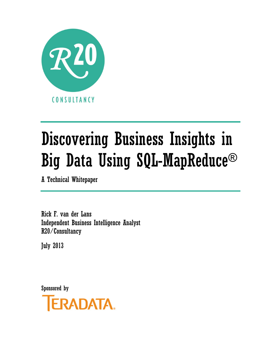

# Discovering Business Insights in Big Data Using SQL-MapReduce®

A Technical Whitepaper

Rick F. van der Lans Independent Business Intelligence Analyst R20/Consultancy

July 2013

Sponsored by

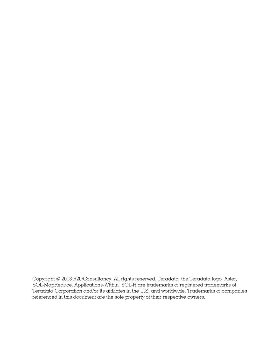Copyright © 2013 R20/Consultancy. All rights reserved. Teradata, the Teradata logo, Aster, SQL-MapReduce, Applications-Within, SQL-H are trademarks of registered trademarks of Teradata Corporation and/or its affiliates in the U.S. and worldwide. Trademarks of companies referenced in this document are the sole property of their respective owners.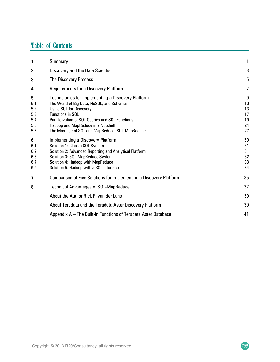# Table of Contents

| 1                                           | Summary                                                                                                                                                                                                                                                                                      | 1                                     |
|---------------------------------------------|----------------------------------------------------------------------------------------------------------------------------------------------------------------------------------------------------------------------------------------------------------------------------------------------|---------------------------------------|
| 2                                           | Discovery and the Data Scientist                                                                                                                                                                                                                                                             | 3                                     |
| 3                                           | <b>The Discovery Process</b>                                                                                                                                                                                                                                                                 | 5                                     |
| 4                                           | <b>Requirements for a Discovery Platform</b>                                                                                                                                                                                                                                                 | 7                                     |
| 5<br>5.1<br>5.2<br>5.3<br>5.4<br>5.5<br>5.6 | Technologies for Implementing a Discovery Platform<br>The World of Big Data, NoSQL, and Schemas<br>Using SQL for Discovery<br>Functions in SOL<br>Parallelization of SQL Queries and SQL Functions<br>Hadoop and MapReduce in a Nutshell<br>The Marriage of SQL and MapReduce: SQL-MapReduce | 9<br>10<br>13<br>17<br>19<br>24<br>27 |
| 6<br>6.1<br>6.2<br>6.3<br>6.4<br>6.5        | <b>Implementing a Discovery Platform</b><br>Solution 1: Classic SQL System<br>Solution 2: Advanced Reporting and Analytical Platform<br>Solution 3: SQL-MapReduce System<br>Solution 4: Hadoop with MapReduce<br>Solution 5: Hadoop with a SQL Interface                                     | 30<br>31<br>31<br>32<br>33<br>34      |
| 7                                           | Comparison of Five Solutions for Implementing a Discovery Platform                                                                                                                                                                                                                           | 35                                    |
| 8                                           | <b>Technical Advantages of SQL-MapReduce</b>                                                                                                                                                                                                                                                 | 37                                    |
|                                             | About the Author Rick F. van der Lans                                                                                                                                                                                                                                                        | 39                                    |
|                                             | About Teradata and the Teradata Aster Discovery Platform                                                                                                                                                                                                                                     | 39                                    |
|                                             | Appendix A – The Built-in Functions of Teradata Aster Database                                                                                                                                                                                                                               | 41                                    |

R20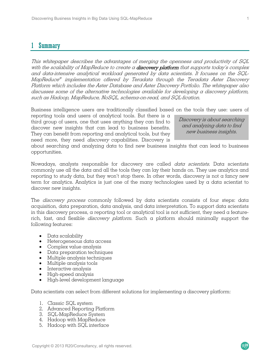# **Summary**

This whitepaper describes the advantages of merging the openness and productivity of SQL with the scalability of MapReduce to create a **discovery platform** that supports today's complex and data-intensive analytical workload generated by data scientists. It focuses on the SQL-MapReduce® implementation offered by Teradata through the Teradata Aster Discovery Platform which includes the Aster Database and Aster Discovery Portfolio. The whitepaper also discusses some of the alternative technologies available for developing a discovery platform, such as Hadoop, MapReduce, NoSQL, schema-on-read, and SQL-fication.

Business intelligence users are traditionally classified based on the tools they use: users of

reporting tools and users of analytical tools. But there is a third group of users, one that uses anything they can find to discover new insights that can lead to business benefits. They can benefit from reporting and analytical tools, but they need more, they need *discovery* capabilities. Discovery is

Discovery is about searching and analyzing data to find new business insights.

about searching and analyzing data to find new business insights that can lead to business opportunities.

Nowadays, analysts responsible for discovery are called *data scientists*. Data scientists commonly use all the data and all the tools they can lay their hands on. They use analytics and reporting to study data, but they won't stop there. In other words, discovery is not a fancy new term for analytics. Analytics is just one of the many technologies used by a data scientist to discover new insights.

The *discovery process* commonly followed by data scientists consists of four steps: data acquisition, data preparation, data analysis, and data interpretation. To support data scientists in this discovery process,  $\alpha$  reporting tool or analytical tool is not sufficient, they need  $\alpha$  featurerich, fast, and flexible *discovery platform*. Such a platform should minimally support the following features:

- Data scalability
- Heterogeneous data access
- Complex value analysis
- Data preparation techniques
- Multiple analysis techniques
- Multiple analysis tools
- Interactive analysis
- High-speed analysis
- High-level development language

Data scientists can select from different solutions for implementing a discovery platform:

- 1. Classic SQL system
- 2. Advanced Reporting Platform
- 3. SQL-MapReduce System
- 4. Hadoop with MapReduce
- 5. Hadoop with SQL interface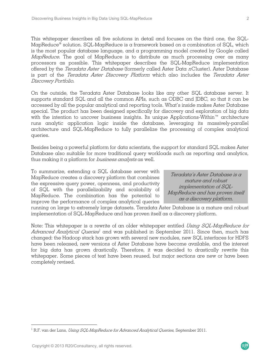This whitepaper describes all five solutions in detail and focuses on the third one, the SQL-MapReduce<sup>®</sup> solution. SQL-MapReduce is a framework based on a combination of SQL, which is the most popular database language, and a programming model created by Google called MapReduce. The goal of MapReduce is to distribute as much processing over as many processors as possible. This whitepaper describes the SQL-MapReduce implementation offered by the Teradata Aster Database (formerly called Aster Data nCluster). Aster Database is part of the Teradata Aster Discovery Platform which also includes the Teradata Aster Discovery Portfolio.

On the outside, the Teradata Aster Database looks like any other SQL database server. It supports standard SQL and all the common APIs, such as ODBC and JDBC, so that it can be accessed by all the popular analytical and reporting tools. What's inside makes Aster Database special. The product has been designed specifically for discovery and exploration of big data with the intention to uncover business insights. Its unique Applications-Within™ architecture runs analytic application logic inside the database, leveraging its massively-parallel architecture and SQL-MapReduce to fully parallelize the processing of complex analytical queries.

Besides being a powerful platform for data scientists, the support for standard SQL makes Aster Database also suitable for more traditional query workloads such as reporting and analytics, thus making it a platform for *business analysts* as well.

To summarize, extending a SQL database server with MapReduce creates a discovery platform that combines the expressive query power, openness, and productivity of SQL with the parallelizability and scalability of MapReduce. The combination has the potential to improve the performance of complex analytical queries

Teradata's Aster Database is a mature and robust implementation of SQL-MapReduce and has proven itself as a discovery platform.

running on large to extremely large datasets. Teradata Aster Database is a mature and robust implementation of SQL-MapReduce and has proven itself as a discovery platform.

Note: This whitepaper is a rewrite of an older whitepaper entitled  $Using$  SQL-MapReduce for Advanced Analytical Queries<sup>1</sup> and was published in September 2011. Since then, much has changed: the Hadoop stack has grown with several new modules, new SQL interfaces for HDFS have been released, new versions of Aster Database have become available, and the interest for big data has grown drastically. Therefore, it was decided to drastically rewrite this whitepaper. Some pieces of text have been reused, but major sections are new or have been completely revised.

 $\overline{a}$ 

 $^{\rm l}$  R.F. van der Lans, *Using SQL-MapReduce for Advanced Analytical Queries*, September 2011.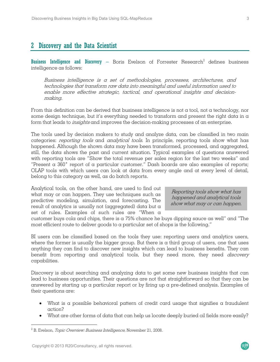# 2 Discovery and the Data Scientist

**Business Intelligence and Discovery** — Boris Evelson of Forrester Rese $\alpha$ rch $^2$  defines business intelligence as follows:

Business intelligence is a set of methodologies, processes, architectures, and technologies that transform raw data into meaningful and useful information used to enable more effective strategic, tactical, and operational insights and decisionmaking.

From this definition can be derived that business intelligence is not a tool, not a technology, nor some design technique, but it's everything needed to transform and present the right data in  $\alpha$ form that leads to insights and improves the decision-making processes of an enterprise.

The tools used by decision makers to study and analyze data, can be classified in two main categories: reporting tools and analytical tools. In principle, reporting tools show what has happened. Although the shown data may have been transformed, processed, and aggregated, still, the data shows the past and current situation. Typical examples of questions answered with reporting tools are "Show the total revenue per sales region for the last two weeks" and "Present a 360˚ report of a particular customer." Dash boards are also examples of reports; OLAP tools with which users can look at data from every angle and at every level of detail, belong to this category as well, as do batch reports.

Analytical tools, on the other hand, are used to find out what may or can happen. They use techniques such as predictive modeling, simulation, and forecasting. The result of analytics is usually not (aggregated) data but a set of rules. Examples of such rules are "When a

Reporting tools show what has happened and analytical tools show what may or can happen.

 $R^{20}$ 

customer buys cola and chips, there is a 75% chance he buys dipping sauce as well" and "The most efficient route to deliver goods to a particular set of shops is the following."

BI users can be classified based on the tools they use: reporting users and analytics users, where the former is usually the bigger group. But there is a third group of users, one that uses anything they can find to discover new insights which can lead to business benefits. They can benefit from reporting and analytical tools, but they need more, they need *discovery* capabilities.

Discovery is about searching and analyzing data to get some new business insights that can lead to business opportunities. Their questions are not that straightforward so that they can be answered by starting up a particular report or by firing up a pre-defined analysis. Examples of their questions are:

- What is a possible behavioral pattern of credit card usage that signifies a fraudulent action?
- What are other forms of data that can help us locate deeply buried oil fields more easily?

 $\overline{a}$ 

 $2^2$  B. Evelson, *Topic Overview: Business Intelligence*, November 21, 2008.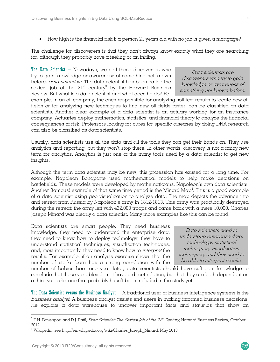• How high is the financial risk if a person 21 years old with no job is given a mortgage?

The challenge for discoverers is that they don't always know exactly what they are searching for, although they probably have a feeling or an inkling.

**The Data Scientist** – Nowadays, we call these discoverers who try to gain knowledge or awareness of something not known before, data scientists. The data scientist has been called the sexiest job of the  $21^{st}$  century<sup>3</sup> by the Harvard Business Review. But what is a data scientist and what does he do? For

Data scientists are discoverers who try to gain knowledge or awareness of something not known before.

example, in an oil company, the ones responsible for analyzing soil test results to locate new oil fields or for analyzing new techniques to find new oil fields faster, can be classified as data scientists. Another clear example of a data scientist is an actuary working for an insurance company. Actuaries deploy mathematics, statistics, and financial theory to analyze the financial consequences of risk. Professors looking for cures for specific diseases by doing DNA research can also be classified as data scientists.

Usually, data scientists use all the data and all the tools they can get their hands on. They use analytics and reporting, but they won't stop there. In other words, discovery is not a fancy new term for analytics. Analytics is just one of the many tools used by a data scientist to get new insights.

Although the term data scientist may be new, this profession has existed for a long time. For example, Napoleon Bonaparte used mathematical models to help make decisions on battlefields. These models were developed by mathematicians, Napoleon's own data scientists. Another (famous) example of that same time period is the Minard Map<sup>4</sup>. This is a good example of a data scientist using geo visualization to analyze data. The map depicts the advance into and retreat from Russia by Napoleon's army in 1812-1813. This army was practically destroyed during the retreat; the army left with 422,000 troops and came back with a mere 10,000. Charles Joseph Minard was clearly a data scientist. Many more examples like this can be found.

Data scientists are smart people. They need business knowledge, they need to understand the enterprise data, they need to know how to deploy technology, they have to understand statistical techniques, visualization techniques, and, most importantly, they need to know how to interpret the results. For example, if an analysis exercise shows that the number of storks born has a strong correlation with the

Data scientists need to understand enterprise data, technology, statistical techniques, visualization techniques, and they need to be able to interpret results.

 $R^{20}$ 

number of babies born one year later, data scientists should have sufficient knowledge to conclude that these variables do not have a direct relation, but that they are both dependent on a third variable, one that probably hasn't been included in the study yet.

The Data Scientist versus the Business Analyst – A traditional user of business intelligence systems is the business analyst. A business analyst assists end users in making informed business decisions. He exploits  $\alpha$  data warehouse to uncover important facts and statistics that show an

 $\overline{a}$ 

 $^3$  T.H. Davenport and D.J. Patil, *Data Scientist: The Sexiest Job of the 21st Century,* Harvard Business Review, October 2012.

 $^4$  Wikipedia, see http://en.wikipedia.org/wiki/Charles\_Joseph\_Minard, May 2013.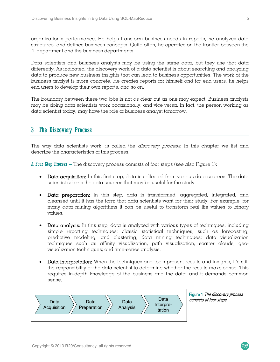organization's performance. He helps transform business needs in reports, he analyzes data structures, and defines business concepts. Quite often, he operates on the frontier between the IT department and the business departments.

Data scientists and business analysts may be using the same data, but they use that data differently. As indicated, the discovery work of a data scientist is about searching and analyzing data to produce new business insights that can lead to business opportunities. The work of the business analyst is more concrete. He creates reports for himself and for end users, he helps end users to develop their own reports, and so on.

The boundary between these two jobs is not as clear cut as one may expect. Business analysts may be doing data scientists work occasionally, and vice versa. In fact, the person working as data scientist today, may have the role of business analyst tomorrow.

# 3 The Discovery Process

The way data scientists work, is called the *discovery process*. In this chapter we list and describe the characteristics of this process.

**A Four Step Process** – The discovery process consists of four steps (see also Figure 1):

- Data acquisition: In this first step,  $data$  is collected from various  $data$  sources. The  $data$ scientist selects the data sources that may be useful for the study.
- Data preparation: In this step, data is transformed, aggregated, integrated, and cleansed until it has the form that data scientists want for their study. For example, for many data mining algorithms it can be useful to transform real life values to binary values.
- Data analysis: In this step, data is analyzed with various types of techniques, including simple reporting techniques; classic statistical techniques, such as forecasting, predictive modeling, and clustering; data mining techniques; data visualization techniques such as affinity visualization, path visualization, scatter clouds, geovisualization techniques; and time-series analysis.
- Data interpretation: When the techniques and tools present results and insights, it's still the responsibility of the data scientist to determine whether the results make sense. This requires in-depth knowledge of the business and the data, and it demands common sense.



Figure 1 The discovery process consists of four steps.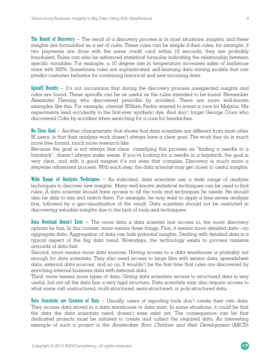**The Result of Discovery** – The result of a discovery process is in most situations *insights*, and these insights are formulated as  $\alpha$  set of *rules*. These rules can be simple if-then rules, for example, if two payments are done with the same credit card within 10 seconds, they are probably fraudulent. Rules can also be advanced statistical formulas indicating the relationship between specific variables. For example, a 10 degree rise in temperature increases sales of barbecue meat with 300%. Sometimes rules are sophisticated, self-learning data mining models that can predict customer behavior by combining historical and new incoming data.

Spinoff Results – It's not uncommon that during the discovery process unexpected insights and rules are found. These spinoffs can be as useful as the rules intended to be found. Remember Alexander Fleming who discovered penicillin by accident. There are more well-known examples like this. For example, chemist William Perkin wanted to invent a cure for Malaria. His experiments lead accidently to the first-ever synthetic dye. And don't forget George Crum who discovered Coke by accident when searching for a cure for headaches.

No Clear Goal – Another characteristic that shows that data scientists are different from most other BI users, is that their analysis work doesn't always have a clear goal. The work they do is much more free format, much more research-like.

Because the goal is not always that clear, classifying this process as "finding a needle in  $\alpha$ haystack", doesn't always make sense. If you're looking for a needle in a haystack, the goal is very clear, and with a good magnet it's not even that complex. Discovery is much more  $\alpha$ stepwise refinement process. With each step, the data scientist may get closer to useful insights.

Wide Range of Analysis Techniques – As indicated, data scientists use a wide range of analysis techniques to discover new insights. Many well-known statistical techniques can be used to find rules. A data scientist should have access to all the tools and techniques he needs. He should also be able to mix and match them. For example, he may want to apply a time-series analysis first, followed by a geo-visualization of the result. Data scientists should not be restricted in discovering valuable insights due to the lack of tools and techniques.

**Data Overload Doesn't Exist** – The more data a data scientist has access to, the more discovery options he has. In this context, more means three things. First, it means more detailed data—no aggregate data. Aggregation of data can hide potential insights. Dealing with detailed data is a typical aspect of the big data trend. Nowadays, the technology exists to process massive amounts of data fast.

Second, more means more data sources. Having access to a data warehouse is probably not enough for data scientists. They also need access to large files with sensor data, spreadsheet data, external data sources, and so on. It wouldn't be the first time that rules are discovered by enriching internal business data with external data.

Third, more means more types of data. Giving data scientists access to structured data is very useful, but not all the data has a very rigid structure. Data scientists may also require access to what some call unstructured, multi-structured, semi-structured, or poly-structured data.

Data Scientists are Creators of Data – Usually, users of reporting tools don't create their own data. They access data stored in a data warehouse or data mart. In some situations, it could be that the data the data scientists need, doesn't even exist yet. The consequence can be that dedicated projects must be initiated to create and collect the required data. An interesting example of such a project is the Amsterdam Born Children and their Development (ABCD)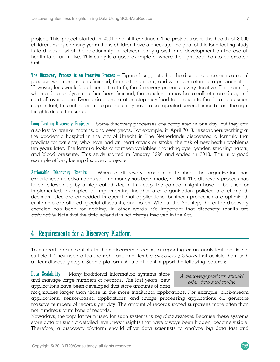first.

project. This project started in 2001 and still continues. The project tracks the health of 8,000 children. Every so many years these children have a checkup. The goal of this long lasting study is to discover what the relationship is between early growth and development on the overall health later on in live. This study is a good example of where the right data has to be created

The Discovery Process is an Iterative Process – Figure 1 suggests that the discovery process is a serial process: when one step is finished, the next one starts, and we never return to a previous step. However, less would be closer to the truth, the discovery process is very iterative. For example, when a data analysis step has been finished, the conclusion may be to collect more data, and start all over again. Even a data preparation step may lead to a return to the data acquisition step. In fact, this entire four-step process may have to be repeated several times before the right insights rise to the surface.

Long Lasting Discovery Projects – Some discovery processes are completed in one day, but they can also last for weeks, months, and even years. For example, in April 2013, researchers working at the academic hospital in the city of Utrecht in The Netherlands discovered a formula that predicts for patients, who have had an heart attack or stroke, the risk of new health problems ten years later. The formula looks at fourteen variables, including age, gender, smoking habits, and blood pressure. This study started in January 1996 and ended in 2013. This is a good example of long lasting discovery projects.

**Actionable Discovery Results** – When  $\alpha$  discovery process is finished, the organization has experienced no advantages yet—no money has been made, no ROI. The discovery process has to be followed up by a step called Act. In this step, the gained insights have to be used or implemented. Examples of implementing insights are: organization policies are changed, decision rules are embedded in operational applications, business processes are optimized, customers are offered special discounts, and so on. Without the Act step, the entire discovery exercise has been for nothing. In other words, it's important that discovery results are actionable. Note that the data scientist is not always involved in the Act.

# 4 Requirements for a Discovery Platform

To support data scientists in their discovery process, a reporting or an analytical tool is not sufficient. They need a feature-rich, fast, and flexible *discovery platform* that assists them with all four discovery steps. Such a platform should at least support the following features:

**Data Scalability** – Many traditional information systems store and manage large numbers of records. The last years, new applications have been developed that store amounts of data

#### A discovery platform should offer data scalability.

 $R<sub>20</sub>$ 

magnitudes larger than those in the more traditional applications. For example, click-stream applications, sensor-based applications, and image processing applications all generate massive numbers of records per day. The amount of records stored surpasses more often than not hundreds of millions of records.

Nowadays, the popular term used for such systems is big data systems. Because these systems store data on such a detailed level, new insights that have always been hidden, become visible. Therefore, a discovery platform should allow data scientists to analyze big data fast and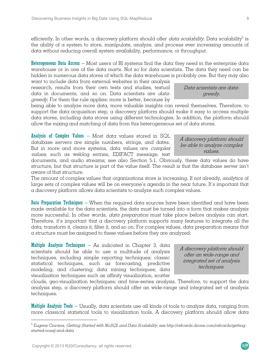efficiently. In other words, a discovery platform should offer *data scalability*. Data scalability<sup>5</sup> is the ability of a system to store, manipulate, analyze, and process ever increasing amounts of data without reducing overall system availability, performance, or throughput.

**Heterogeneous Data Access** – Most users of BI systems find the data they need in the enterprise data warehouse or in one of the data marts. Not so for data scientists. The data they need can be hidden in numerous data stores of which the data warehouse is probably one. But they may also

want to include data from external websites in their analysis research, results from their own tests and studies, textual data in documents, and so on. Data scientists are datagreedy. For them the rule applies: more is better, because by

being able to analyze more data, more valuable insights can reveal themselves. Therefore, to support the data acquisition step, a discovery platform should make it easy to access multiple data stores, including data stores using different technologies. In addition, the platform should allow the mixing and matching of data from this heterogeneous set of data stores.

Analysis of Complex Values – Most data values stored in SQL database servers are simple numbers, strings, and dates. But in more and more systems, data values are complex values, such as weblog entries, EDIFACT message, text

documents, and audio streams; see also Section 5.1. Obviously, these data values do have structure, but that structure is part of the value itself. The result is that the database server isn't aware of that structure.

The amount of complex values that organizations store is increasing. If not already, analytics of large sets of complex values will be on everyone's agenda in the near future. It's important that a discovery platform allows data scientists to analyze such complex values.

Data Preparation Techniques – When the required data sources have been identified and have been made available for the data scientists, the data must be turned into a form that makes analysis more successful. In other words, *data preparation* must take place before analysis can start. Therefore, it's important that a discovery platform supports many features to integrate all the data, transform it, cleans it, filter it, and so on. For complex values, data preparation means that a structure must be assigned to these values before they are analyzed.

**Multiple Analysis Techniques**  $-$  As indicated in Chapter 3, data scientists should be able to use a multitude of analysis techniques, including simple reporting techniques; classic statistical techniques, such as forecasting, predictive modeling, and clustering; data mining techniques; data visualization techniques such as affinity visualization, scatter

clouds, geo-visualization techniques; and time-series analysis. Therefore, to support the data analysis step, a discovery platform should offer an wide-range and integrated set of analysis techniques.

**Multiple Analysis Tools** – Usually, data scientists use all kinds of tools to analyze data, ranging from more classical statistical tools to visualization tools. A discovery platform should allow data

 $\overline{a}$ 

Data scientists are datagreedy.

A discovery platform should be able to analyze complex values.

A discovery platform should offer an wide-range and integrated set of analysis techniques.

<sup>&</sup>lt;sup>5</sup> Eugene Ciurana, *Getting Started with NoSQL and Data Scalability*, see http://refcardz.dzone.com/refcardz/gettingstarted-nosql-and-data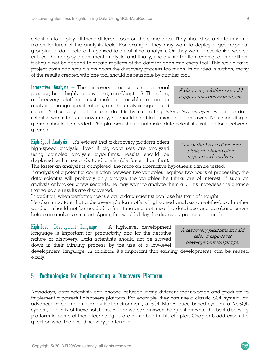scientists to deploy all these different tools on the same data. They should be able to mix and match features of the analysis tools. For example, they may want to deploy a geographical grouping of data before it's passed to a statistical analysis. Or, they want to sessionize weblog entries, then deploy  $\alpha$  sentiment analysis, and finally, use  $\alpha$  visualization technique. In addition, it should not be needed to create replicas of the data for each and every tool. This would raise project costs and would slow down the discovery process too much. In an ideal situation, many of the results created with one tool should be reusable by another tool.

**Interactive Analysis** – The discovery process is not  $\alpha$  serial process, but a highly iterative one; see Chapter 3. Therefore, a discovery platform must make it possible to run an analysis, change specifications, run the analysis again, and

so on. A discovery platform can do this by supporting *interactive analysis*: when the data scientist wants to run a new query, he should be able to execute it right away. No scheduling of queries should be needed. The platform should not make data scientists wait too long between queries.

**High-Speed Analysis**  $-$  It's evident that a discovery platform offers high-speed analysis. Even if big data sets are analyzed using complex analysis algorithms, results should be displayed within seconds (and preferable faster than that).

The faster an analysis is completed, the more an alternative hypothesis can be tested. If analysis of a potential correlation between two variables requires two hours of processing, the

data scientist will probably only analyze the variables he thinks are of interest. If such an analysis only takes a few seconds, he may want to analyze them all. This increases the chance that valuable results are discovered.

In addition, when performance is slow, a data scientist can lose his train of thought.

It's also important that a discovery platform offers high-speed analysis out-of-the-box. In other words, it should not be needed to first tune and optimize the database and database server before an analysis can start. Again, this would delay the discovery process too much.

High-Level Development Language – A high-level development language is important for productivity and for the iterative nature of discovery. Data scientists should not be slowed down in their thinking process by the use of a low-level

development language. In addition, it's important that existing developments can be reused easily.

# 5 Technologies for Implementing a Discovery Platform

Nowadays, data scientists can choose between many different technologies and products to implement a powerful discovery platform. For example, they can use a classic SQL system, an advanced reporting and analytical environment, a SQL-MapReduce based system, a NoSQL system, or a mix of these solutions. Before we can answer the question what the best discovery platform is, some of these technologies are described in this chapter. Chapter 6 addresses the question what the best discovery platform is.

support interactive analysis.

Out-of-the-box a discovery platform should offer high-speed analysis.

A discovery platform should

A discovery platform should offer a high-level development language.

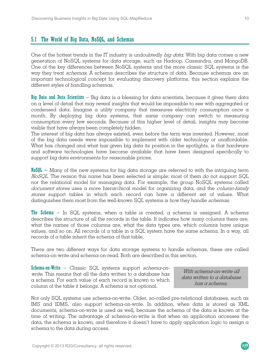### 5.1 The World of Big Data, NoSQL, and Schemas

One of the hottest trends in the IT industry is undoubtedly big data. With big data comes a new generation of NoSQL systems for data storage, such as Hadoop, Cassandra, and MongoDB. One of the key differences between NoSQL systems and the more classic SQL systems is the way they treat *schemas*. A schema describes the structure of data. Because schemas are an important technological concept for evaluating discovery platforms, this section explains the different styles of handling schemas.

Big Data and Data Scientists – Big data is a blessing for data scientists, because it gives them data on a level of detail that may reveal insights that would be impossible to see with aggregated or condensed data. Imagine a utility company that measures electricity consumption once  $\alpha$ month. By deploying big data systems, that same company can switch to measuring consumption every few seconds. Because of this higher level of detail, insights may become visible that have always been completely hidden.

The interest of big data has always existed, even before the term was invented. However, most of the big data needs were impossible to implement with older technology or unaffordable. What has changed and what has given big data its position in the spotlights, is that hardware and software technologies have become available that have been designed specifically to support big data environments for reasonable prices.

 $N_0$ <sub>M</sub> $I_0$  – Many of the new systems for big data storage are referred to with the intriguing term NoSQL. The reason this name has been selected is simple: most of them do not support SQL nor the relational model for managing data. For example, the group NoSQL systems called document stores uses a more hierarchical model for organizing data, and the column-family stores support tables in which each record can have a different set of values. What distinguishes them most from the well-known SQL systems is how they handle *schemas*.

**The Schema** – In SQL systems, when a table is created, a schema is assigned. A schema describes the structure of all the records in the table. It indicates how many columns there are, what the names of those columns are, what the data types are, which columns have unique values, and so on. All records of a table in a SQL system have the same schema. In a way, all records of a table inherit the schema of that table.

There are two different ways for data storage systems to handle schemas, these are called schema-on-write and schema-on-read. Both are described in this section.

Schema-on-Write – Classic SQL systems support *schema-on*write. This means that all the data written to a database has a schema. For each value of each record is known to which column of the table it belongs. A schema is not optional.

With schema-on-write all data written to a database has a schema.

 $R^{20}$ 

Not only SQL systems use schema-on-write. Older, so-called pre-relational databases, such as IMS and IDMS, also support schema-on-write. In addition, when data is stored as XML documents, schema-on-write is used as well, because the schema of the data is known at the time of writing. The advantage of schema-on-write is that when an application accesses the data, the schema is known, and therefore it doesn't have to apply application logic to assign a schema to the data during access.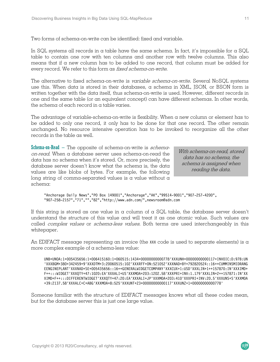Two forms of schema-on-write can be identified: fixed and variable.

In SQL systems all records in a table have the same schema. In fact, it's impossible for a SQL table to contain one row with ten columns and another row with twelve columns. This also means that if a new column has to be added to one record, that column must be added for every record. We refer to this form as fixed schema-on-write.

The alternative to fixed schema-on-write is *variable schema-on-write*. Several NoSQL systems use this. When data is stored in their databases,  $\alpha$  schema in XML, JSON, or BSON form is written together with the data itself, thus schema-on-write is used. However, different records in one and the same table (or an equivalent concept) can have different schemas. In other words, the schema of each record in a table varies.

The advantage of variable-schema-on-write is flexibility. When a new column or element has to be added to only one record, it only has to be done for that one record. The other remain unchanged. No resource intensive operation has to be invoked to reorganize all the other records in the table as well.

Schema-on-Read – The opposite of schema-on-write is *schema*on-read. When a database server uses schema-on-read the data has no schema when it's stored. Or, more precisely, the database server doesn't know what the schema is, the data values are like blobs of bytes. For example, the following long string of comma-separated values is a value without a schema:

With schema-on-read, stored data has no schema, the schema is assigned when reading the data.

"Anchorage Daily News","PO Box 149001","Anchorage","AK","99514-9001","907-257-4200", "907-258-2157","71","","82","http://www.adn.com/",newsroom@adn.com

If this string is stored as one value in a column of a SQL table, the database server doesn't understand the structure of this value and will treat it as one atomic value. Such values are called *complex values* or *schema-less values*. Both terms are used interchangeably in this whitepaper.

An EDIFACT message representing an invoice (the XXX code is used to separate elements) is a more complex example of a schema-less value:

UNB+UNOA:1+005435656:1+006415160:1+060515:1434+00000000000778'XXXUNH+00000000000117+INVOIC:D:97B:UN 'XXXBGM+380+342459+9'XXXDTM+3:20060515:102'XXXRFF+ON:521052'XXXNAD+BY+792820524::16++CUMMINSMIDRANG EENGINEPLANT'XXXNAD+SE+005435656::16++GENERALWIDGETCOMPANY'XXXCUX+1:USD'XXXLIN+1++157870:IN'XXXIMD+ F++:::WIDGET'XXXQTY+47:1020:EA'XXXALI+US'XXXMOA+203:1202.58'XXXPRI+INV:1.179'XXXLIN+2++157871:IN'XX XIMD+F++:::DIFFERENTWIDGET'XXXQTY+47:20:EA'XXXALI+JP'XXXMOA+203:410'XXXPRI+INV:20.5'XXXUNS+S'XXXMOA +39:2137.58'XXXALC+C+ABG'XXXMOA+8:525'XXXUNT+23+00000000000117'XXXUNZ+1+00000000000778'

Someone familiar with the structure of EDIFACT messages knows what all these codes mean, but for the database server this is just one large value.

 $R$ 20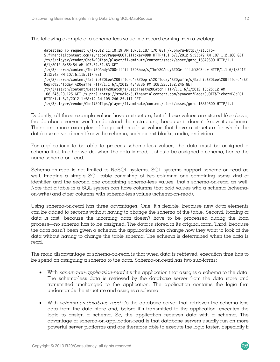The following example of a schema-less value is a record coming from a weblog:

datestamp ip request 6/1/2012 11:10:19 AM 107.1.187.170 GET /x.php?u=http://studio-5.financialcontent.com/synacor?Page=QUOTE&Ticker=DDD HTTP/1.1 6/1/2012 5:53:49 AM 107.1.2.180 GET /tv/3/player/vendor/Chef%20Tips/player/fiveminute/content/steak/asset/gnrc\_15879500 HTTP/1.1 6/1/2012 8:55:54 AM 107.34.51.63 GET /tv/3/search/content/The%20Andy%20Griffith%20Show/s/The%20Andy%20Griffith%20Show HTTP/1.1 6/1/2012 3:12:43 PM 107.5.115.117 GET /tv/3/search/content/Kathie%20Lee%20Gifford's%20epic%20'Today'%20gaffe/s/Kathie%20Lee%20Gifford's%2 0epic%20'Today'%20gaffe HTTP/1.1 6/1/2012 4:48:35 PM 108.225.132.245 GET /tv/3/search/content/Deadliest%20Catch/s/Deadliest%20Catch HTTP/1.1 6/1/2012 10:25:12 AM 108.246.20.125 GET /x.php?u=http://studio-5.financialcontent.com/synacor?Page=QUOTE&Ticker=DJ:DJI HTTP/1.1 6/1/2012 1:58:14 AM 108.246.25.117 GET /tv/3/player/vendor/Chef%20Tips/player/fiveminute/content/steak/asset/gnrc\_15879500 HTTP/1.1

Evidently, all three example values have a structure, but if these values are stored like above, the database server won't understand their structure, because it doesn't know its schema. There are more examples of large schema-less values that have a structure for which the database server doesn't know the schema, such as text blocks, audio, and video.

For applications to be able to process schema-less values, the data must be assigned  $\alpha$ schema first. In other words, when the data is read, it should be assigned a schema, hence the name schema-on-read.

Schema-on-read is not limited to NoSQL systems. SQL systems support schema-on-read as well. Imagine a simple SQL table consisting of two columns: one containing some kind of identifier and the second one containing schema-less values, that's schema-on-read as well. Note that a table in a SQL system can have columns that hold values with a schema (schemaon-write) and other columns with schema-less values (schema-on-read).

Using schema-on-read has three advantages. One, it's flexible, because new data elements can be added to records without having to change the schema of the table. Second, loading of data is fast, because the incoming data doesn't have to be processed during the load process—no schema has to be assigned. The data is stored in its original form. Third, because the data hasn't been given a schema, the applications can change how they want to look at the data without having to change the table schema. The schema is determined when the data is read.

The main disadvantage of schema-on-read is that when data is retrieved, execution time has to be spend on assigning a schema to the data. Schema-on-read has two sub-forms:

- With *schema-on-application-read* it's the application that assigns a schema to the data. The schema-less data is retrieved by the database server from the data store and transmitted unchanged to the application. The application contains the logic that understands the structure and assigns a schema.
- With *schema-on-database-read* it's the database server that retrieves the schema-less data from the data store and, before it's transmitted to the application, executes the logic to assign a schema. So, the application receives data with a schema. The advantage of schema-on-application-read is that database servers usually run on more powerful server platforms and are therefore able to execute the logic faster. Especially if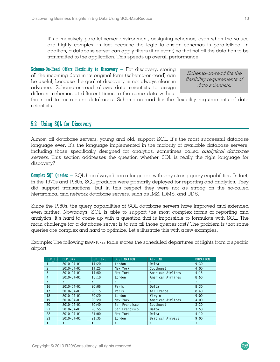it's a massively parallel server environment, assigning schemas, even when the values are highly complex, is fast because the logic to assign schemas is parallelized. In addition, a database server can apply filters (if relevant) so that not all the data has to be transmitted to the application. This speeds up overall performance.

**Schema-On-Read Offers Flexibility to Discovery – For discovery, storing** all the incoming data in its original form (schema-on-read) can be useful, because the goal of discovery is not always clear in advance. Schema-on-read allows data scientists to assign different schemas at different times to the same data without

Schema-on-read fits the flexibility requirements of data scientists.

the need to restructure databases. Schema-on-read fits the flexibility requirements of data scientists.

## 5.2 Using SQL for Discovery

Almost all database servers, young and old, support SQL. It's the most successful database language ever. It's the language implemented in the majority of available database servers, including those specifically designed for analytics, sometimes called *analytical database* servers. This section addresses the question whether SQL is really the right language for discovery?

**Complex SQL Queries** – SQL has always been a language with very strong query capabilities. In fact, in the 1970s and 1980s, SQL products were primarily deployed for reporting and analytics. They did support transactions, but in this respect they were not as strong as the so-called hierarchical and network database servers, such as IMS, IDMS, and UDS.

Since the 1980s, the query capabilities of SQL database servers have improved and extended even further. Nowadays, SQL is able to support the most complex forms of reporting and analytics. It's hard to come up with a question that is impossible to formulate with SQL. The main challenge for a database server is to run all those queries fast? The problem is that some queries are complex and hard to optimize. Let's illustrate this with a few examples.

Example: The following DEPARTURES table stores the scheduled departures of flights from  $\alpha$  specific airport:

| DEP ID         | <b>DEP DAY</b>   | DEP TIME | <b>DESTINATION</b> | AIRLINE              | <b>DURATION</b> |
|----------------|------------------|----------|--------------------|----------------------|-----------------|
|                | $2010 - 04 - 01$ | 14:20    | London             | Delta                | 9:30            |
| $\mathcal{P}$  | $2010 - 04 - 01$ | 14:25    | New York           | Southwest            | 4:00            |
| $\mathbf{3}$   | $2010 - 04 - 01$ | 14:50    | New York           | American Airlines    | 4:15            |
| $\overline{4}$ | $2010 - 04 - 01$ | 15:10    | London             | American Airlines    | 8:50            |
| ÷              | ٠.               | ÷        | ÷                  | ÷                    | $\ddot{\cdot}$  |
| 16             | 2010-04-01       | 20:05    | Paris              | Delta                | 8:30            |
| 17             | $2010 - 04 - 01$ | 20:15    | Paris              | Air France           | 8:40            |
| 18             | $2010 - 04 - 01$ | 20:20    | London             | Virgin               | 9:00            |
| 19             | $2010 - 04 - 01$ | 20:20    | New York           | American Airlines    | 4:00            |
| 20             | $2010 - 04 - 01$ | 20:40    | San Francisco      | Southwest            | 3:30            |
| 21             | $2010 - 04 - 01$ | 20:55    | San Francisco      | Delta                | 3:50            |
| 22             | $2010 - 04 - 01$ | 21:00    | New York           | Delta                | 4:10            |
| 23             | 2010-04-01       | 21:35    | London             | Britisch Airways     | 9:00            |
| ÷              |                  |          | ÷                  | $\ddot{\phantom{a}}$ | ÷               |

 $\overline{\mathcal{R}}$ 20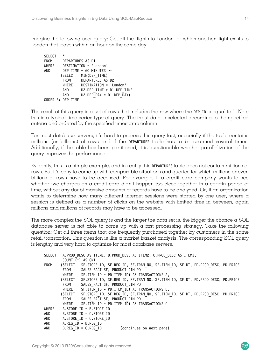Imagine the following user query: Get all the flights to London for which another flight exists to London that leaves within an hour on the same day:

```
SELECT<br>FROM
       DEPARTURES AS D1
WHERE DESTINATION = 'London' 
AND DEP TIME + 60 MINUTES >=
       (SELECT MIN(DEP TIME)
        FROM DEPARTURES AS D2 
        WHERE DESTINATION = 'London' 
AND D2.DEP TIME > D1.DEP TIME
AND D2.DEP DAY = D1.DEP DAY)
ORDER BY DEP_TIME
```
The result of this query is  $\alpha$  set of rows that includes the row where the DEP ID is equal to 1. Note this is a typical time-series type of query. The input data is selected according to the specified criteria and ordered by the specified timestamp column.

For most database servers, it's hard to process this query fast, especially if the table contains millions (or billions) of rows and if the DEPARTURES table has to be scanned several times. Additionally, if the table has been partitioned, it is questionable whether parallelization of the query improves the performance.

Evidently, this is a simple example, and in reality this DEPARTURES table does not contain millions of rows. But it's easy to come up with comparable situations and queries for which millions or even billions of rows have to be accessed. For example, if a credit card company wants to see whether two charges on a credit card didn't happen too close together in a certain period of time, without any doubt massive amounts of records have to be analyzed. Or, if an organization wants to determine how many different internet sessions were started by one user, where a session is defined as a number of clicks on the website with limited time in between, again millions and millions of records may have to be accessed.

The more complex the SQL query is and the larger the data set is, the bigger the chance a SQL database server is not able to come up with a fast processing strategy. Take the following question: Get all three items that are frequently purchased together by customers in the same retail transaction. This question is like a market basket analysis. The corresponding SQL query is lengthy and very hard to optimize for most database servers.

|         | A.PROD DESC AS ITEM1, B.PROD DESC AS ITEM2, C.PROD DESC AS ITEM3,                      |  |  |
|---------|----------------------------------------------------------------------------------------|--|--|
|         |                                                                                        |  |  |
|         | (SELECT  SF.STORE ID, SF.REG ID, SF.TRAN NO, SF.ITEM ID, SF.DT, PD.PROD DESC, PD.PRICE |  |  |
| FROM    | SALES FACT SF. PRODUCT DIM PD                                                          |  |  |
| WHERE   | SF.ITEM ID = PD.ITEM ID) AS TRANSACTIONS A,                                            |  |  |
| (SELECT | SF.STORE ID, SF.REG ID, SF.TRAN NO, SF.ITEM ID, SF.DT, PD.PROD DESC, PD.PRICE          |  |  |
| FROM    | SALES FACT SF. PRODUCT DIM PD                                                          |  |  |
| WHERE   | SF.ITEM ID = PD.ITEM ID) AS TRANSACTIONS B,                                            |  |  |
| (SELECT | SF.STORE ID, SF.REG ID, SF.TRAN NO, SF.ITEM ID, SF.DT, PD.PROD DESC, PD.PRICE          |  |  |
| FROM    | SALES FACT SF, PRODUCT DIM PD                                                          |  |  |
| WHERE   | SF.ITEM ID = PD.ITEM ID) AS TRANSACTIONS C                                             |  |  |
|         | A.STORE ID = B.STORE ID                                                                |  |  |
|         | $B.STORE$ $ID = C.STORE$ $ID$                                                          |  |  |
|         | A.STORE ID = C.STORE ID                                                                |  |  |
|         | $A. REG ID = B. REG ID$                                                                |  |  |
|         | $B. REG ID = C. REG ID$<br>(continues on next page)                                    |  |  |
|         | COUNT $(*)$ AS CNT                                                                     |  |  |

 $\overline{\mathcal{R}}$ 20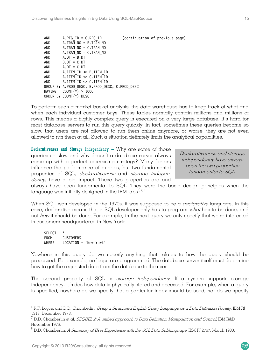```
AND A.REG ID = C.REG ID (continuation of previous page)
AND
A.TRA\overline{N}
NO = B.TR\overline{AN}
NO
R.TRAN
NO = C.TRAN
NOAND B.\text{TRAN}^-NO = C.\text{TRAN}^-NO<br>AND A.\text{TRAN}^-NO = C.\text{TRAN}^-NOA.TRAN-NO = C.TRAN-NOAND A.DT = B.DT 
AND B.DT = C.DT 
AND A.DT = C.DT 
AND A.ITEM_ID <> B.ITEM_ID 
AND A.ITEM_ID <> C.ITEM_ID 
AND B.ITEM_ID <> C.ITEM_ID 
GROUP BY A.PROD_DESC, B.PROD_DESC, C.PROD_DESC 
HAVING COUNT(\overline{x}) > 1000
ORDER BY COUNT(*) DESC
```
To perform such a market basket analysis, the data warehouse has to keep track of what and when each individual customer buys. These tables normally contain millions and millions of rows. This means a highly complex query is executed on a very large database. It's hard for most database servers to run this query quickly. In fact, sometimes these queries become so slow, that users are not allowed to run them online anymore, or worse, they are not even allowed to run them at all. Such a situation definitely limits the analytical capabilities.

**Declarativeness and Storage Independency**  $-$  Why  $\alpha$ re some of those queries so slow and why doesn't a database server always come up with a perfect processing strategy? Many factors influence the performance of queries, but two fundamental properties of SQL, declarativeness and storage indepen $dency$ , have a big impact. These two properties are and

Declarativeness and storage independency have always been the two properties fundamental to SQL.

always have been fundamental to SQL. They were the basic design principles when the language was initially designed in the IBM labs $6,7,8$ .

When SQL was developed in the 1970s, it was supposed to be a *declarative* language. In this case, declarative means that a SQL developer only has to program what has to be done, and not how it should be done. For example, in the next query we only specify that we're interested in customers headquartered in New York:

**SELECT** FROM CUSTOMERS WHERE LOCATION = 'New York'

 $\overline{a}$ 

Nowhere in this query do we specify anything that relates to how the query should be processed. For example, no loops are programmed. The database server itself must determine how to get the requested data from the database to the user.

The second property of SQL is *storage independency*. If a system supports storage independency, it hides how data is physically stored and accessed. For example, when a query is specified, nowhere do we specify that a particular index should be used, nor do we specify

 $^6$  R.F. Boyce, and D.D. Chamberlin, *Using a Structured English Query Language as a Data Definition Facility*, IBM RJ 1318, December 1973.

 $^7$  D.D. Chamberlin et al, *SEQUEL 2: A unified approach to Data Definition, Manipulation and Control*, IBM R&D, November 1976.

 $^8$  D.D. Chamberlin, *A Summary of User Experience with the SQL Data Sublanguage*, IBM RJ 2767, March 1980.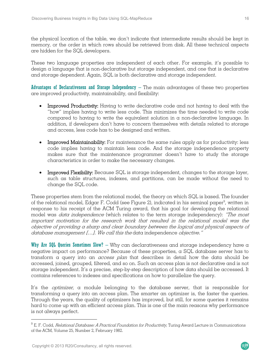the physical location of the table, we don't indicate that intermediate results should be kept in memory, or the order in which rows should be retrieved from disk. All these technical aspects are hidden for the SQL developers.

These two language properties are independent of each other. For example, it's possible to design a language that is non-declarative but storage independent, and one that is declarative and storage dependent. Again, SQL is both declarative and storage independent.

Advantages of Declarativeness and Storage Independency  $-$  The main advantages of these two properties are improved productivity, maintainability, and flexibility:

- Improved Productivity: Having to write declarative code and not having to deal with the "how" implies having to write less code. This minimizes the time needed to write code compared to having to write the equivalent solution in a non-declarative language. In addition, if developers don't have to concern themselves with details related to storage and access, less code has to be designed and written.
- Improved Maintainability: For maintenance the same rules apply as for productivity: less code implies having to maintain less code. And the storage independence property makes sure that the maintenance programmer doesn't have to study the storage characteristics in order to make the necessary changes.
- Improved Flexibility: Because SQL is storage independent, changes to the storage layer, such as table structures, indexes, and partitions, can be made without the need to change the SQL code.

These properties stem from the relational model, the theory on which SQL is based. The founder of the relational model, Edgar F. Codd (see Figure 2), indicated in his seminal paper $^{\circ}$ , written in response to his receipt of the ACM Turing award, that his goal for developing the relational model was *data independence* (which relates to the term storage independency): "The most important motivation for the research work that resulted in the relational model was the objective of providing a sharp and clear boundary between the logical and physical aspects of database management [...]. We call this the data independence *objective."* 

Why Are SQL Queries Sometimes Slow? – Why can declarativeness and storage independency have a negative impact on performance? Because of these properties, a SQL database server has to transform a query into an *access plan* that describes in detail how the data should be accessed, joined, grouped, filtered, and so on. Such an access plan is not declarative and is not storage independent. It's a precise, step-by-step description of how data should be accessed. It contains references to indexes and specifications on how to parallelize the query.

It's the optimizer, a module belonging to the database server, that is responsible for transforming a query into an access plan. The smarter an optimizer is, the faster the queries. Through the years, the quality of optimizers has improved, but still, for some queries it remains hard to come up with an efficient access plan. This is one of the main reasons why performance is not always perfect.

 $\overline{a}$ 

 $R<sub>20</sub>$ 

 $^9$  E. F. Codd, *Relational Database: A Practical Foundation for Productivity*, Turing Award Lecture in Communications of the ACM, Volume 25, Number 2, February 1982.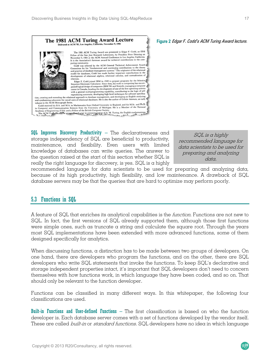

 $SQL$  Improves Discovery Productivity – The declarativeness and storage independency of SQL are beneficial to productivity, maintenance, and flexibility. Even users with limited knowledge of databases can write queries. The answer to the question raised at the start of this section whether SQL is really the right language for discovery, is yes. SQL is a highly

SQL is a highly recommended language for data scientists to be used for preparing and analyzing data.

recommended language for data scientists to be used for preparing and analyzing data, because of its high productivity, high flexibility, and low maintenance. A drawback of SQL database servers may be that the queries that are hard to optimize may perform poorly.

## 5.3 Functions in SQL

A feature of SQL that enriches its analytical capabilities is the function. Functions are not new to SQL. In fact, the first versions of SQL already supported them, although those first functions were simple ones, such as truncate a string and calculate the square root. Through the years most SQL implementations have been extended with more advanced functions, some of them designed specifically for analytics.

When discussing functions, a distinction has to be made between two groups of developers. On one hand, there are developers who program the functions, and on the other, there are SQL developers who write SQL statements that invoke the functions. To keep SQL's declarative and storage independent properties intact, it's important that SQL developers don't need to concern themselves with how functions work, in which language they have been coded, and so on. That should only be relevant to the function developer.

Functions can be classified in many different ways. In this whitepaper, the following four classifications are used.

Built-in Functions and User-defined Functions – The first classification is based on who the function developer is. Each database server comes with a set of functions developed by the vendor itself. These are called *built-in* or *standard functions*. SQL developers have no idea in which language



#### Figure 2 Edgar F. Codd's ACM Turing Award lecture.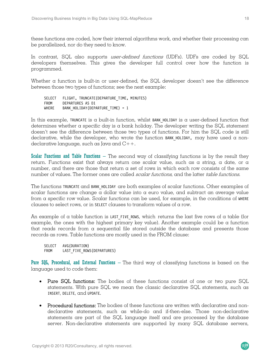these functions are coded, how their internal algorithms work, and whether their processing can be parallelized, nor do they need to know.

In contrast, SQL also supports user-defined functions (UDFs). UDFs are coded by SQL developers themselves. This gives the developer full control over how the function is programmed.

Whether  $\alpha$  function is built-in or user-defined, the SQL developer doesn't see the difference between those two types of functions; see the next example:

```
SELECT FLIGHT, TRUNCATE(DEPARTURE_TIME, MINUTES)<br>FROM DEPARTURES AS D1
FROM DEPARTURES AS D1<br>WHERE BANK HOLIDAY (DEP)
            BANK HOLIDAY(DEPARTURE TIME) = 1
```
In this example, TRUNCATE is a built-in function, whilst BANK HOLIDAY is a user-defined function that determines whether a specific day is a bank holiday. The developer writing the SQL statement doesn't see the difference between those two types of functions. For him the SQL code is still declarative, while the developer, who wrote the function BANK HOLIDAY, may have used a nondeclarative language, such as Java and  $C++$ .

Scalar Functions and Table Functions  $-$  The second way of classifying functions is by the result they return. Functions exist that always return one scalar value, such as a string, a date, or a number, and there are those that return  $\alpha$  set of rows in which each row consists of the same number of values. The former ones are called *scalar functions*, and the latter *table functions*.

The functions TRUNCATE and BANK HOLIDAY are both examples of scalar functions. Other examples of scalar functions are change a dollar value into a euro value, and subtract an average value from a specific row value. Scalar functions can be used, for example, in the conditions of WHERE clauses to select rows, or in SELECT clauses to transform values of a row.

An example of a table function is LAST FIVE ROWS, which returns the last five rows of a table (for example, the ones with the highest primary key value). Another example could be a function that reads records from a sequential file stored outside the database and presents those records as rows. Table functions are mostly used in the FROM clause:

```
SELECT AVG(DURATION) 
FROM LAST FIVE ROWS(DEPARTURES)
```
**Pure SQL, Procedural, and External Functions** – The third way of classifying functions is based on the language used to code them:

- Pure SQL functions: The bodies of these functions consist of one or two pure SQL statements. With pure SQL we mean the classic declarative SQL statements, such as INSERT, DELETE, and UPDATE.
- Procedural functions: The bodies of these functions are written with declarative and nondeclarative statements, such as while-do and if-then-else. Those non-declarative statements are part of the SQL language itself and are processed by the database server. Non-declarative statements are supported by many SQL database servers,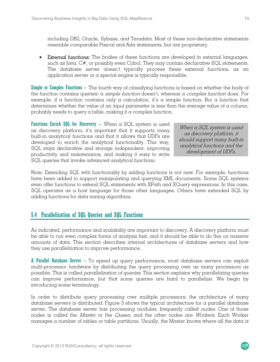including DB2, Oracle, Sybase, and Teradata. Most of these non-declarative statements resemble comparable Pascal and Ada statements, but are proprietary.

• External functions: The bodies of these functions are developed in external languages, such as Java,  $C\#$ , or possibly even Cobol. They may contain declarative SQL statements. The database server doesn't typically process these external functions, as an application server or a special engine is typically responsible.

**Simple or Complex Functions** – The fourth way of classifying functions is based on whether the body of the function contains queries:  $\alpha$  *simple function* doesn't, whereas  $\alpha$  *complex function* does. For example, if a function contains only a calculation, it's a simple function. But a function that determines whether the value of an input parameter is less than the average value of  $\alpha$  column, probably needs to query a table, making it a complex function.

**Functions Enrich SQL for Discovery** – When  $\alpha$  SQL system is used as discovery platform, it's important that it supports many built-in analytical functions and that it allows that UDFs are developed to enrich the analytical functionality. This way, SQL stays declarative and storage independent, improving productivity and maintenance, and making it easy to write SQL queries that invoke advanced analytical functions.

When a SQL system is used as discovery platform, it should support many built-in analytical functions and the development of UDFs.

Note: Extending SQL with functionality by adding functions is not new. For example, functions have been added to support manipulating and querying XML documents. Some SQL systems even offer functions to extend SQL statements with XPath and XQuery expressions. In this case, SQL operates as a host language for those other languages. Others have extended SQL by adding functions for data mining algorithms.

## 5.4 Parallelization of SQL Queries and SQL Functions

As indicated, performance and scalability are important to discovery. A discovery platform must be able to run even complex forms of analysis fast, and it should be able to do this on massive amounts of data. This section describes internal architectures of database servers and how they use parallelization to improve performance.

 $\overline{A}$  Parallel Database Server – To speed up query performance, most database servers can exploit multi-processor hardware by distributing the query processing over as many processors as possible. This is called parallelization of queries. This section explains why parallelizing queries can improve performance, but that some queries are hard to parallelize. We begin by introducing some terminology.

In order to distribute query processing over multiple processors, the architecture of many database servers is distributed. Figure 3 shows the typical architecture for a parallel database server. The database server has processing modules, frequently called *nodes*. One of those nodes is called the *Master* or the *Queen*, and the other nodes are *Workers*. Each Worker manages a number of tables or table partitions. Usually, the Master knows where all the data is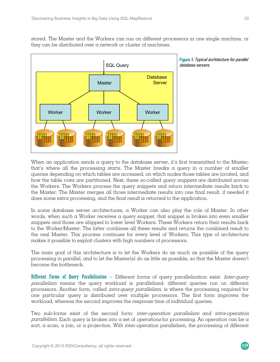stored. The Master and the Workers can run on different processors in one single machine, or they can be distributed over a network or cluster of machines.



Figure 3 Typical architecture for parallel database servers.

When an application sends a query to the database server, it's first transmitted to the Master; that's where all the processing starts. The Master breaks a query in a number of smaller queries depending on which tables are accessed, on which nodes those tables are located, and how the table rows are partitioned. Next, these so-called *query snippets* are distributed across the Workers. The Workers process the query snippets and return intermediate results back to the Master. The Master merges all those intermediate results into one final result, if needed it does some extra processing, and the final result is returned to the application.

In some database server architectures, a Worker can also play the role of Master. In other words, when such a Worker receives a query snippet, that snippet is broken into even smaller snippets and those are shipped to lower level Workers. These Workers return their results back to the Worker/Master. The latter combines all these results and returns the combined result to the real Master. This process continues for every level of Workers. This type of architecture makes it possible to exploit clusters with high numbers of processors.

The main goal of this architecture is to let the Workers do as much as possible of the query processing in parallel, and to let the Master(s) do as little as possible, so that the Master doesn't become the bottleneck.

Different Forms of Query Parallelization – Different forms of query parallelization exist. Inter-query parallelism means the query workload is parallelized: different queries run on different processors. Another form, called *intra-query parallelism*, is where the processing required for one particular query is distributed over multiple processors. The first form improves the workload, whereas the second improves the response time of individual queries.

Two sub-forms exist of the second form: inter-operation parallelism and intra-operation parallelism. Each query is broken into a set of *operations* for processing. An operation can be a sort, a scan, a join, or a projection. With inter-operation parallelism, the processing of different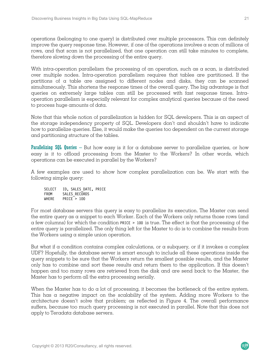operations (belonging to one query) is distributed over multiple processors. This can definitely improve the query response time. However, if one of the operations involves a scan of millions of rows, and that scan is not parallelized, that one operation can still take minutes to complete, therefore slowing down the processing of the entire query.

With intra-operation parallelism the processing of an operation, such as a scan, is distributed over multiple nodes. Intra-operation parallelism requires that tables are partitioned. If the partitions of  $\alpha$  table are assigned to different nodes and disks, they can be scanned simultaneously. This shortens the response times of the overall query. The big advantage is that queries on extremely large tables can still be processed with fast response times. Intraoperation parallelism is especially relevant for complex analytical queries because of the need to process huge amounts of data.

Note that this whole notion of parallelization is hidden for SQL developers. This is an aspect of the storage independency property of SQL. Developers don't and shouldn't have to indicate how to parallelize queries. Else, it would make the queries too dependent on the current storage and partitioning structure of the tables.

**Parallelizing SQL Queries** – But how easy is it for a database server to parallelize queries, or how easy is it to offload processing from the Master to the Workers? In other words, which operations can be executed in parallel by the Workers?

A few examples are used to show how complex parallelization can be. We start with the following simple query:

SELECT ID, SALES DATE, PRICE FROM SALES RECORDS WHERE PRICE<sup>-</sup>> 100

For most database servers this query is easy to parallelize its execution. The Master can send the entire query as a snippet to each Worker. Each of the Workers only returns those rows (and a few columns) for which the condition PRICE > 100 is true. The effect is that the processing of the entire query is parallelized. The only thing left for the Master to do is to combine the results from the Workers using a simple union operation.

But what if a condition contains complex calculations, or a subquery, or if it invokes a complex UDF? Hopefully, the database server is smart enough to include all these operations inside the query snippets to be sure that the Workers return the smallest possible results, and the Master only has to combine and sort these results and return them to the application. If this doesn't happen and too many rows are retrieved from the disk and are send back to the Master, the Master has to perform all the extra processing serially.

When the Master has to do  $\alpha$  lot of processing, it becomes the bottleneck of the entire system. This has a negative impact on the scalability of the system. Adding more Workers to the architecture doesn't solve that problem; as reflected in Figure 4. The overall performance suffers, because too much query processing is not executed in parallel. Note that this does not apply to Teradata database servers.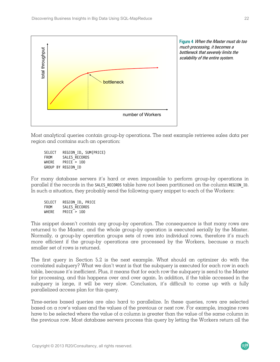

Figure 4 When the Master must do too much processing, it becomes a bottleneck that severely limits the scalability of the entire system.

Most analytical queries contain group-by operations. The next example retrieves sales data per region and contains such an operation:

SELECT REGION ID, SUM(PRICE) FROM SALES\_RECORDS<br>WHERE PRICE > 100  $PRICE > 100$ GROUP BY REGION\_ID

For many database servers it's hard or even impossible to perform group-by operations in parallel if the records in the SALES RECORDS table have not been partitioned on the column REGION ID. In such a situation, they probably send the following query snippet to each of the Workers:

| <b>SELECT</b> | REGION ID, PRICE |
|---------------|------------------|
| FROM          | SALES RECORDS    |
| WHFRF         | PRICE $> 100$    |

This snippet doesn't contain any group-by operation. The consequence is that many rows are returned to the Master, and the whole group-by operation is executed serially by the Master. Normally, a group-by operation groups sets of rows into individual rows, therefore it's much more efficient if the group-by operations are processed by the Workers, because a much smaller set of rows is returned.

The first query in Section 5.2 is the next example. What should an optimizer do with the correlated subquery? What we don't want is that the subquery is executed for each row in each table, because it's inefficient. Plus, it means that for each row the subquery is send to the Master for processing, and this happens over and over again. In addition, if the table accessed in the subquery is large, it will be very slow. Conclusion, it's difficult to come up with a fully parallelized access plan for this query.

Time-series based queries are also hard to parallelize. In these queries, rows are selected based on a row's values and the values of the previous or next row. For example, imagine rows have to be selected where the value of a column is greater than the value of the same column in the previous row. Most database servers process this query by letting the Workers return all the

 $\overline{\mathcal{R}}$ 20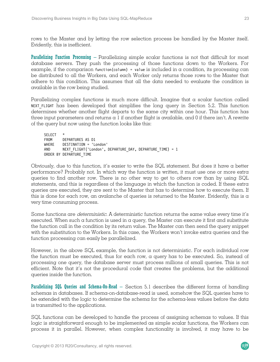rows to the Master and by letting the row selection process be handled by the Master itself. Evidently, this is inefficient.

Parallelizing Function Processing – Parallelizing simple scalar functions is not that difficult for most database servers. They push the processing of those functions down to the Workers. For example, if the comparison function(column) = value is included in  $\alpha$  condition, its processing can be distributed to all the Workers, and each Worker only returns those rows to the Master that adhere to this condition. This assumes that all the data needed to evaluate the condition is available in the row being studied.

Parallelizing complex functions is much more difficult. Imagine that a scalar function called NEXT FLIGHT has been developed that simplifies the long query in Section 5.2. This function determines whether another flight departs to the same city within one hour. This function has three input parameters and returns  $\alpha$  l if another flight is available, and 0 if there isn't. A rewrite of the query but now using the function looks like this:

SELECT \* FROM DEPARTURES AS D1<br>WHERE DESTINATION = 'L DESTINATION = 'London' AND NEXT FLIGHT('London', DEPARTURE DAY, DEPARTURE TIME) = 1 ORDER BY DEPARTURE\_TIME

Obviously, due to this function, it's easier to write the  $SQL$  statement. But does it have a better performance? Probably not. In which way the function is written, it must use one or more extra queries to find another row. There is no other way to get to others row than by using SQL statements, and this is regardless of the language in which the function is coded. If these extra queries are executed, they are sent to the Master that has to determine how to execute them. If this is done for each row, an avalanche of queries is returned to the Master. Evidently, this is a very time consuming process.

Some functions are *deterministic*. A deterministic function returns the same value every time it's executed. When such  $\alpha$  function is used in  $\alpha$  query, the Master can execute it first and substitute the function call in the condition by its return value. The Master can then send the query snippet with the substitution to the Workers. In this case, the Workers won't invoke extra queries and the function processing can easily be parallelized.

However, in the above SQL example, the function is not deterministic. For each individual row the function must be executed, thus for each row, a query has to be executed. So, instead of processing one query, the database server must process millions of small queries. This is not efficient. Note that it's not the procedural code that creates the problems, but the additional queries inside the function.

Parallelizing SQL Queries and Schema-On-Read – Section 5.1 describes the different forms of handling schemas in databases. If schema-on-database-read is used, somehow the SQL queries have to be extended with the logic to determine the schema for the schema-less values before the data is transmitted to the applications.

SQL functions can be developed to handle the process of assigning schemas to values. If this logic is straightforward enough to be implemented as simple scalar functions, the Workers can process it in parallel. However, when complex functionality is involved, it may have to be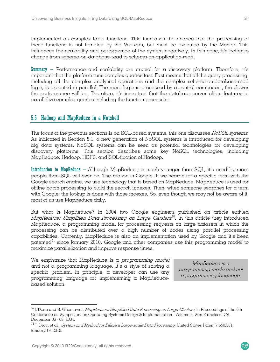implemented as complex table functions. This increases the chance that the processing of these functions is not handled by the Workers, but must be executed by the Master. This influences the scalability and performance of the system negatively. In this case, it's better to change from schema-on-database-read to schema-on-application-read.

**Summary** – Performance and scalability are crucial for a discovery platform. Therefore, it's important that the platform runs complex queries fast. Fast means that all the query processing, including all the complex analytical operations and the complex schema-on-database-read logic, is executed in parallel. The more logic is processed by  $\alpha$  central component, the slower the performance will be. Therefore, it's important that the database server offers features to parallelize complex queries including the function processing.

## 5.5 Hadoop and MapReduce in a Nutshell

The focus of the previous sections is on SQL-based systems, this one discusses NoSQL systems. As indicated in Section 5.1, a new generation of NoSQL systems is introduced for developing big data systems. NoSQL systems can be seen as potential technologies for developing discovery platforms. This section describes some key NoSQL technologies, including MapReduce, Hadoop, HDFS, and SQL-fication of Hadoop.

**Introduction to MapReduce** – Although MapReduce is much younger than  $SQL$ , it's used by more people than SQL will ever be. The reason is Google. If we search for a specific term with the Google search engine, we use technology that is based on MapReduce. MapReduce is used for offline batch processing to build the search indexes. Then, when someone searches for a term with Google, the lookup is done with those indexes. So, even though we may not be aware of it, most of us use MapReduce daily.

But what is MapReduce? In 2004 two Google engineers published an article entitled MapReduce: Simplified Data Processing on Large Clusters<sup>10</sup>. In this article they introduced MapReduce, a programming model for processing requests on large datasets in which the processing can be distributed over a high number of nodes using parallel processing capabilities. Currently, MapReduce is also an implementation used by Google and it's been patented<sup>11</sup> since January 2010. Google and other companies use this programming model to maximize parallelization and improve response times.

We emphasize that MapReduce is a *programming model* and not a programming language. It's a style of solving a specific problem. In principle, a developer can use any programming language for implementing a MapReducebased solution.

MapReduce is a programming mode and not a programming language.

 $R^{20}$ 

 $\overline{a}$ 

 $10$  J. Dean and S. Ghemawat, *MapReduce: Simplified Data Processing on Large Clusters*, in Proceedings of the 6th Conference on Symposium on Operating Systems Design & Implementation - Volume 6, San Francisco, CA, December 06 - 08, 2004.

 $^{11}$  J. Dean et al., *System and Method for Efficient Large-scale Data Processing,* United States Patent 7,650,331, January 19, 2010.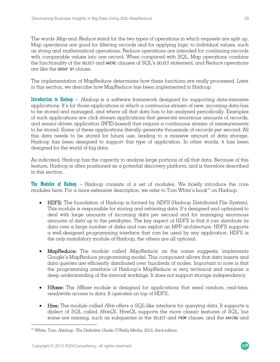The words Map and Reduce stand for the two types of operations in which requests are split up. Map operations are good for filtering records and for applying logic to individual values, such as string and mathematical operations. Reduce operations are intended for combining records with comparable values into one record. When compared with SQL, Map operations combine the functionality of the SELECT and WHERE clauses of SQL's SELECT statement, and Reduce operations are like the GROUP BY clause.

The implementation of MapReduce determines how these functions are really processed. Later in this section, we describe how MapReduce has been implemented in Hadoop.

Introduction to Hadoop – Hadoop is a software framework designed for supporting data-intensive applications. It's for those applications in which a continuous stream of new, incoming data has to be stored and managed, and where all that data has to be analyzed periodically. Examples of such applications are click stream applications that generate enormous amounts of records, and sensor-driven application (RFID-based) that require a continuous stream of measurements to be stored. Some of these applications literally generate thousands of records per second. All this data needs to be stored for future use, leading to a massive amount of data storage. Hadoop has been designed to support this type of application. In other words, it has been designed for the world of big data.

As indicated, Hadoop has the capacity to analyze large portions of all that data. Because of this feature, Hadoop is often positioned as a potential discovery platform, and is therefore described in this section.

The Modules of Hadoop – Hadoop consists of  $\alpha$  set of modules. We briefly introduce the core modules here. For a more extensive description, we refer to Tom White's book $^{12}$  on Hadoop.

- HDFS: The foundation of Hadoop is formed by HDFS (Hadoop Distributed File System). This module is responsible for storing and retrieving data. It's designed and optimized to deal with large amounts of incoming data per second and for managing enormous amounts of data up to the petabytes. The key aspect of HDFS is that it can distribute its data over a large number of disks and can exploit an MPP architecture. HDFS supports a well-designed programming interface that can be used by any application. HDFS is the only mandatory module of Hadoop, the others are all optional.
- MapReduce: The module called *MapReduce*, as the name suggests, implements Google's MapReduce programming model. This component allows that data inserts and data queries are efficiently distributed over hundreds of nodes. Important to note is that the programming interface of Hadoop's MapReduce is very technical and requires a deep understanding of the internal workings. It does not support storage independency.
- HBase: The *HBase* module is designed for applications that need random, real-time, read/write access to data. It operates on top of HDFS.
- Hive: The module called Hive offers a SQL-like interface for querying data. It supports a dialect of SQL called *HiveQL*. HiveQL supports the more classic features of SQL, but some are missing, such as subqueries in the SELECT and FROM clause, and the HAVING and

 $\overline{a}$ 

 $12$  White, Tom, *Hadoop, The Definitive Guide*, O'Reilly Media, 2012, third edition.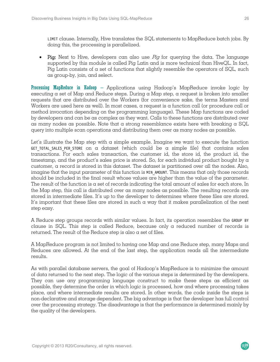LIMIT clause. Internally, Hive translates the SQL statements to MapReduce batch jobs. By doing this, the processing is parallelized.

• Pig: Next to Hive, developers can also use  $Pig$  for querying the data. The language supported by this module is called Pig Latin and is more technical than HiveQL. In fact, Pig Latin consists of  $\alpha$  set of functions that slightly resemble the operators of SQL, such as group-by, join, and select.

Processing MapReduce in Hadoop – Applications using Hadoop's MapReduce invoke logic by executing a set of Map and Reduce steps. During a Map step, a request is broken into smaller requests that are distributed over the Workers (for convenience sake, the terms Masters and Workers are used here as well). In most cases, a request is a function call (or procedure call or method invocation depending on the programming language). These Map functions are coded by developers and can be as complex as they want. Calls to these functions are distributed over as many nodes as possible. Note that a strong resemblance exists here with breaking a  $SQL$ query into multiple scan operations and distributing them over as many nodes as possible.

Let's illustrate the Map step with a simple example. Imagine we want to execute the function GET TOTAL SALES PER STORE on  $\alpha$  dataset (which could be  $\alpha$  simple file) that contains sales transactions. For each sales transaction, the customer id, the store id, the product id, the timestamp, and the product's sales price is stored. So, for each individual product bought by  $\alpha$ customer, a record is stored in this dataset. The dataset is partitioned over all the nodes. Also, imagine that the input parameter of this function is MIN AMOUNT. This means that only those records should be included in the final result whose values are higher than the value of the parameter. The result of the function is a set of records indicating the total amount of sales for each store. In the Map step, this call is distributed over as many nodes as possible. The resulting records are stored in intermediate files. It's up to the developer to determines where these files are stored. It's important that these files are stored in such a way that it makes parallelization of the next step easy.

A Reduce step groups records with similar values. In fact, its operation resembles the GROUP BY clause in SQL. This step is called Reduce, because only a reduced number of records is returned. The result of the Reduce step is also a set of files.

A MapReduce program is not limited to having one Map and one Reduce step, many Maps and Reduces are allowed. At the end of the last step, the application reads all the intermediate results.

As with parallel database servers, the goal of Hadoop's MapReduce is to minimize the amount of data returned to the next step. The logic of the various steps is determined by the developers. They can use any programming language construct to make these steps as efficient as possible, they determine the order in which logic is processed, how and where processing takes place, and where intermediate results are stored. In other words, the code inside the steps is non-declarative and storage dependent. The big advantage is that the developer has full control over the processing strategy. The disadvantage is that the performance is determined mainly by the quality of the developers.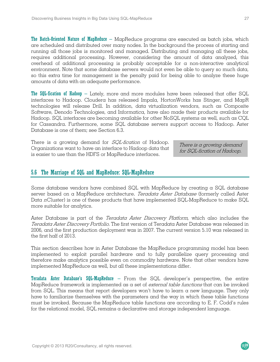The Batch-Oriented Nature of MapReduce – MapReduce programs are executed as batch jobs, which are scheduled and distributed over many nodes. In the background the process of starting and running all those jobs is monitored and managed. Distributing and managing all these jobs, requires additional processing. However, considering the amount of data analyzed, this overhead of additional processing is probably acceptable for a non-interactive analytical environment. Note that some database servers would not even be able to query so much data, so this extra time for management is the penalty paid for being able to analyze these huge amounts of data with an adequate performance.

The SQL-fication of Hadoop – Lately, more and more modules have been released that offer SQL interfaces to Hadoop. Cloudera has released Impala, HortonWorks has Stinger, and MapR technologies will release Drill. In addition, data virtualization vendors, such as Composite Software, Denodo Technologies, and Informatica, have also made their products available for Hadoop. SQL interfaces are becoming available for other NoSQL systems as well, such as CQL for Cassandra. Furthermore, some SQL database servers support access to Hadoop. Aster Database is one of them; see Section 6.3.

There is a growing demand for SQL-fication of Hadoop. Organizations want to have an interface to Hadoop data that is easier to use than the HDFS or MapReduce interfaces.

There is a growing demand for SQL-fication of Hadoop.

#### 5.6 The Marriage of SQL and MapReduce: SQL-MapReduce

Some database vendors have combined SQL with MapReduce by creating a SQL database server based on a MapReduce architecture. Teradata Aster Database (formerly called Aster Data nCluster) is one of these products that have implemented SQL-MapReduce to make SQL more suitable for analytics.

Aster Database is part of the Teradata Aster Discovery Platform, which also includes the Teradata Aster Discovery Portfolio. The first version of Teradata Aster Database was released in 2006, and the first production deployment was in 2007. The current version 5.10 was released in the first half of 2013.

This section describes how in Aster Database the MapReduce programming model has been implemented to exploit parallel hardware and to fully parallelize query processing and therefore make analytics possible even on commodity hardware. Note that other vendors have implemented MapReduce as well, but all these implementations differ.

**Teradata Aster Database's SQL-MapReduce** – From the SQL developer's perspective, the entire MapReduce framework is implemented as a set of *external table functions* that can be invoked from SQL. This means that report developers won't have to learn a new language. They only have to familiarize themselves with the parameters and the way in which these table functions must be invoked. Because the MapReduce table functions are according to E. F. Codd's rules for the relational model, SQL remains a declarative and storage independent language.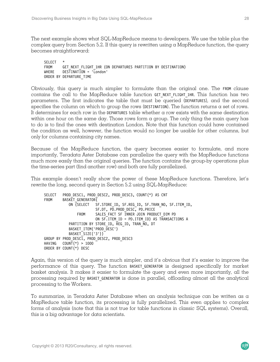The next example shows what SQL-MapReduce means to developers. We use the table plus the complex query from Section 5.2. If this query is rewritten using  $\alpha$  MapReduce function, the query becomes straightforward:

SELECT<br>FROM FROM GET NEXT FLIGHT\_1HR (ON DEPARTURES PARTITION BY DESTINATION)<br>WHERE DESTINATION = 'London' DESTINATION = 'London' ORDER BY DEPARTURE\_TIME

Obviously, this query is much simpler to formulate than the original one. The FROM clause contains the call to the MapReduce table function GET NEXT FLIGHT 1HR. This function has two parameters. The first indicates the table that must be queried (DEPARTURES), and the second specifies the column on which to group the rows (DESTINATION). The function returns  $\alpha$  set of rows. It determines for each row in the DEPARTURES table whether a row exists with the same destination within one hour on the same day. Those rows form a group. The only thing the main query has to do is to find the ones with destination London. Note that this function could have contained the condition as well, however, the function would no longer be usable for other columns, but only for columns containing city names.

Because of the MapReduce function, the query becomes easier to formulate, and more importantly, Teradata Aster Database can parallelize the query with the MapReduce functions much more easily than the original queries. The function contains the group-by operations plus the time-series part (find another row) and both are fully parallelized.

This example doesn't really show the power of these MapReduce functions. Therefore, let's rewrite the long, second query in Section 5.2 using SQL-MapReduce:

SELECT PROD DESC1, PROD DESC2, PROD DESC3, COUNT(\*) AS CNT FROM BASKET GENERATOR( ON (SELECT SF.STORE\_ID, SF.REG\_ID, SF.TRAN\_NO, SF.ITEM\_ID, SF.DT, PD.PROD\_DESC, PD.PRICE FROM SALES FACT SF INNER JOIN PRODUCT DIM PD ON SF.ITEM\_ID = PD.ITEM\_ID) AS TRANSACTIONS A PARTITION BY STORE ID, REG ID, TRAN NO, DT BASKET ITEM('PROD DESC') BASKET\_SIZE('3')) GROUP BY PROD DESC1, PROD DESC2, PROD DESC3 HAVING COUNT $(\star)$  > 1000 ORDER BY COUNT(\*) DESC

Again, this version of the query is much simpler, and it's obvious that it's easier to improve the performance of this query. The function BASKET GENERATOR is designed specifically for market basket analysis. It makes it easier to formulate the query and even more importantly, all the processing required by BASKET\_GENERATOR is done in parallel, offloading almost all the analytical processing to the Workers.

To summarize, in Teradata Aster Database when an analysis technique can be written as a MapReduce table function, its processing is fully parallelized. This even applies to complex forms of analysis (note that this is not true for table functions in classic SQL systems). Overall, this is a big advantage for data scientists.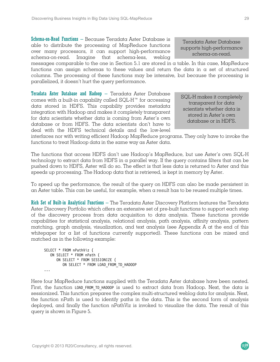Schema-on-Read Functions – Because Teradata Aster Database is able to distribute the processing of MapReduce functions over many processors, it can support high-performance schema-on-read. Imagine that schema-less, weblog

messages comparable to the one in Section 5.1 are stored in a table. In this case, MapReduce functions can assign schemas to these values and return the data in a set of structured columns. The processing of these functions may be intensive, but because the processing is parallelized, it doesn't hurt the query performance.

**Teradata Aster Database and Hadoop**  $-$  Teradata Aster Database comes with  $\alpha$  built-in capability called SQL-H<sup>™</sup> for accessing data stored in HDFS. This capability provides metadata integration with Hadoop and makes it completely transparent for data scientists whether data is coming from Aster's own database or from HDFS. The data scientists don't have to deal with the HDFS technical details and the low-level

interfaces nor with writing efficient Hadoop MapReduce programs. They only have to invoke the functions to treat Hadoop data in the same way as Aster data.

The functions that access HDFS don't use Hadoop's MapReduce, but use Aster's own SQL-H technology to extract data from HDFS in a parallel way. If the query contains filters that can be pushed down to HDFS, Aster will do so. The effect is that less data is returned to Aster and this speeds up processing. The Hadoop data that is retrieved, is kept in memory by Aster.

To speed up the performance, the result of the query on HDFS can also be made persistent in an Aster table. This can be useful, for example, when a result has to be reused multiple times.

Rich Set of Built-in Analytical Functions – The Teradata Aster Discovery Platform features the Teradata Aster Discovery Portfolio which offers an extensive set of pre-built functions to support each step of the discovery process from data acquisition to data analysis. These functions provide capabilities for statistical analysis, relational analysis, path analysis, affinity analysis, pattern matching, graph analysis, visualization, and text analysis (see Appendix A at the end of this whitepaper for a list of functions currently supported). These functions can be mixed and matched as in the following example:

```
SELECT * FROM nPathViz ( 
    ON SELECT * FROM nPath ( 
       ON SELECT * FROM SESSIONIZE ( 
         ON SELECT * FROM LOAD FROM TD HADOOP
...
```
Here four MapReduce functions supplied with the Teradata Aster database have been nested. First, the function LOAD FROM TD HADOOP is used to extract data from Hadoop. Next, the data is sessionized. This function prepares the complex multi-structured weblog data for analysis. Next, the function nPath is used to identify paths in the data. This is the second form of analysis deployed, and finally the function nPathViz is invoked to visualize the data. The result of this query is shown in Figure 5.

Copyright © 2013 R20/Consultancy, all rights reserved.

Teradata Aster Database supports high-performance schema-on-read.

SQL-H makes it completely transparent for data scientists whether data is stored in Aster's own database or in HDFS.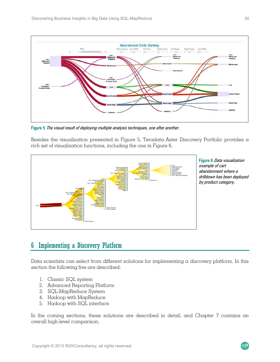

Figure 5 The visual result of deploying multiple analysis techniques, one after another.

Besides the visualization presented in Figure 5, Teradata Aster Discovery Portfolio provides a rich set of visualization functions, including the one in Figure 6.



Figure 6 Data visualization example of cart abandonment where a drilldown has been deployed by product category.

 $R^{20}$ 

# 6 Implementing a Discovery Platform

Data scientists can select from different solutions for implementing a discovery platform. In this section the following five are described:

- 1. Classic SQL system
- 2. Advanced Reporting Platform
- 3. SQL-MapReduce System
- 4. Hadoop with MapReduce
- 5. Hadoop with SQL interface

In the coming sections, these solutions are described in detail, and Chapter 7 contains an overall high-level comparison.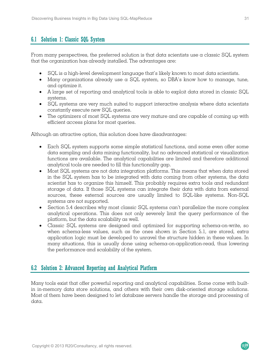## 6.1 Solution 1: Classic SQL System

From many perspectives, the preferred solution is that data scientists use a classic SQL system that the organization has already installed. The advantages are:

- SQL is a high-level development language that's likely known to most data scientists.
- Many organizations already use a SQL system, so DBA's know how to manage, tune, and optimize it.
- A large set of reporting and analytical tools is able to exploit data stored in classic SQL systems.
- SQL systems are very much suited to support interactive analysis where data scientists constantly execute new SQL queries.
- The optimizers of most SQL systems are very mature and are capable of coming up with efficient access plans for most queries.

Although an attractive option, this solution does have disadvantages:

- Each SQL system supports some simple statistical functions, and some even offer some data sampling and data mining functionality, but no advanced statistical or visualization functions are available. The analytical capabilities are limited and therefore additional analytical tools are needed to fill this functionality gap.
- Most SQL systems are not data integration platforms. This means that when data stored in the SQL system has to be integrated with data coming from other systems, the data scientist has to organize this himself. This probably requires extra tools and redundant storage of data. If those SQL systems can integrate their data with data from external sources, these external sources are usually limited to SQL-like systems. Non-SQL systems are not supported.
- Section 5.4 describes why most classic SQL systems can't parallelize the more complex analytical operations. This does not only severely limit the query performance of the platform, but the data scalability as well.
- Classic SQL systems are designed and optimized for supporting schema-on-write, so when schema-less values, such as the ones shown in Section 5.1, are stored, extra application logic must be developed to unravel the structure hidden in these values. In many situations, this is usually done using schema-on-application-read, thus lowering the performance and scalability of the system.

## 6.2 Solution 2: Advanced Reporting and Analytical Platform

Many tools exist that offer powerful reporting and analytical capabilities. Some come with builtin in-memory data store solutions, and others with their own disk-oriented storage solutions. Most of them have been designed to let database servers handle the storage and processing of data.

 $R<sub>20</sub>$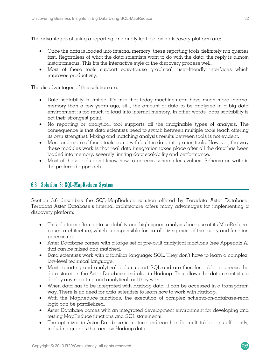The advantages of using a reporting and analytical tool as a discovery platform are:

- Once the data is loaded into internal memory, these reporting tools definitely run queries fast. Regardless of what the data scientists want to do with the data, the reply is almost instantaneous. This fits the interactive style of the discovery process well.
- Most of these tools support easy-to-use graphical, user-friendly interfaces which improves productivity.

The disadvantages of this solution are:

- Data scalability is limited. It's true that today machines can have much more internal memory than  $\alpha$  few years ago, still, the amount of data to be analyzed in  $\alpha$  big data environment is too much to load into internal memory. In other words, data scalability is not their strongest point.
- No reporting or analytical tool supports all the imaginable types of analysis. The consequence is that data scientists need to switch between multiple tools (each offering its own strengths). Mixing and matching analysis results between tools is not evident.
- More and more of these tools come with built-in data integration tools. However, the way these modules work is that real data integration takes place after all the data has been loaded into memory, severely limiting data scalability and performance.
- Most of these tools don't know how to process schema-less values. Schema-on-write is the preferred approach.

## 6.3 Solution 3: SQL-MapReduce System

Section 5.6 describes the SQL-MapReduce solution offered by Teradata Aster Database. Teradata Aster Database's internal architecture offers many advantages for implementing a discovery platform:

- This platform offers data scalability and high-speed analysis because of its MapReducebased architecture, which is responsible for parallelizing most of the query and function processing.
- Aster Database comes with a large set of pre-built analytical functions (see Appendix A) that can be mixed and matched.
- Data scientists work with a familiar language: SQL. They don't have to learn a complex, low-level technical language.
- Most reporting and analytical tools support SQL and are therefore able to access the data stored in the Aster Database and also in Hadoop. This allows the data scientists to deploy any reporting and analytical tool they want.
- $\bullet$  When data has to be integrated with Hadoop data, it can be accessed in a transparent way. There is no need for data scientists to learn how to work with Hadoop.
- With the MapReduce functions, the execution of complex schema-on-database-read logic can be parallelized.
- Aster Database comes with an integrated development environment for developing and testing MapReduce functions and SQL statements.
- The optimizer in Aster Database is mature and can handle multi-table joins efficiently, including queries that access Hadoop data.

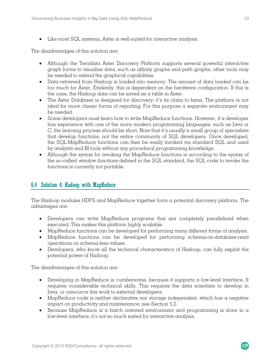• Like most SQL systems, Aster is well-suited for interactive analysis.

The disadvantages of this solution are:

- Although the Teradata Aster Discovery Platform supports several powerful interactive graph forms to visualize data, such as affinity graphs and path graphs, other tools may be needed to extend the graphical capabilities.
- Data retrieved from Hadoop is loaded into memory. The amount of data loaded can be too much for Aster. Evidently, this is dependent on the hardware configuration. If this is the case, the Hadoop data can be saved as a table in Aster.
- The Aster Database is designed for discovery; it's its claim to fame. The platform is not ideal for more classic forms of reporting. For this purpose  $\alpha$  separate environment may be needed.
- Some developers must learn how to write MapReduce functions. However, if a developer has experience with one of the more modern programming languages, such as Java or C, the learning process should be short. Note that it's usually a small group of specialists that develop functions, not the entire community of SQL developers. Once developed, the SQL-MapReduce functions can then be easily invoked via standard SQL and used by analysts and BI tools without any procedural programming knowledge.
- Although the syntax for invoking the MapReduce functions is according to the syntax of the so-called window functions defined in the SQL standard, the SQL code to invoke the functions is currently not portable.

## 6.4 Solution 4: Hadoop with MapReduce

The Hadoop modules HDFS and MapReduce together form a potential discovery platform. The advantages are:

- Developers can write MapReduce programs that are completely parallelized when executed. This makes this platform highly scalable.
- MapReduce functions can be developed for performing many different forms of analysis.
- MapReduce functions can be developed for performing schema-on-database-read operations on schema-less values.
- Developers, who know all the technical characteristics of Hadoop, can fully exploit the potential power of Hadoop.

The disadvantages of this solution are:

- Developing in MapReduce is cumbersome, because it supports a low-level interface. It requires considerable technical skills. This requires the data scientists to develop in Java, or outsource this work to external developers.
- MapReduce code is neither declarative nor storage independent, which has a negative impact on productivity and maintenance; see Section 5.2.
- Because MapReduce is a batch oriented environment and programming is done in a low-level interface, it's not so much suited for interactive analysis.

 $R<sub>20</sub>$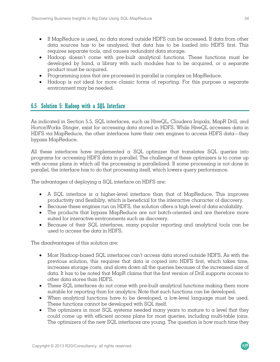- If MapReduce is used, no data stored outside HDFS can be accessed. If data from other data sources has to be analyzed, that data has to be loaded into HDFS first. This requires separate tools, and causes redundant data storage.
- Hadoop doesn't come with pre-built analytical functions. These functions must be developed by hand, a library with such modules has to be acquired, or a separate product must be acquired.
- Programming joins that are processed in parallel is complex on MapReduce.
- Hadoop is not ideal for more classic forms of reporting. For this purpose a separate environment may be needed.

## 6.5 Solution 5: Hadoop with a SQL Interface

As indicated in Section 5.5, SQL interfaces, such as HiveQL, Cloudera Impala, MapR Drill, and HortonWorks Stinger, exist for accessing data stored in HDFS. While HiveQL accesses data in HDFS via MapReduce, the other interfaces have their own engines to access HDFS data—they bypass MapReduce.

All these interfaces have implemented  $\alpha$  SQL optimizer that translates SQL queries into programs for accessing HDFS data in parallel. The challenge of these optimizers is to come up with access plans in which all the processing is parallelized. If some processing is not done in parallel, the interface has to do that processing itself, which lowers query performance.

The advantages of deploying a SQL interface on HDFS are:

- A SQL interface is a higher-level interface than that of MapReduce. This improves productivity and flexibility, which is beneficial for the interactive character of discovery.
- $\bullet$  Because these engines run on HDFS, the solution offers a high level of data scalability.
- The products that bypass MapReduce are not batch-oriented and are therefore more suited for interactive environments such as discovery.
- Because of their SQL interfaces, many popular reporting and analytical tools can be used to access the data in HDFS.

The disadvantages of this solution are:

- Most Hadoop-based SQL interfaces can't access data stored outside HDFS. As with the previous solution, this requires that data is copied into HDFS first, which takes time, increases storage costs, and slows down all the queries because of the increased size of data. It has to be noted that MapR claims that the first version of Drill supports access to other data stores than HDFS.
- These SQL interfaces do not come with pre-built analytical functions making them more suitable for reporting than for analytics. Note that such functions can be developed.
- When analytical functions have to be developed,  $\alpha$  low-level language must be used. These functions cannot be developed with SQL itself.
- The optimizers in most SQL systems needed many years to mature to a level that they could come up with efficient access plans for most queries, including multi-table joins. The optimizers of the new SQL interfaces are young. The question is how much time they

 $R<sub>20</sub>$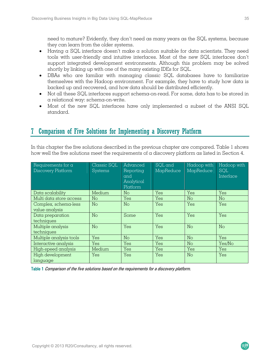need to mature? Evidently, they don't need as many years as the SQL systems, because they can learn from the older systems.

- Having a SQL interface doesn't make a solution suitable for data scientists. They need tools with user-friendly and intuitive interfaces. Most of the new SQL interfaces don't support integrated development environments. Although this problem may be solved shortly by linking up with one of the many existing IDEs for SQL.
- DBAs who are familiar with managing classic SQL databases have to familiarize themselves with the Hadoop environment. For example, they have to study how data is backed up and recovered, and how data should be distributed efficiently.
- Not all these SQL interfaces support schema-on-read. For some, data has to be stored in a relational way: schema-on-write.
- Most of the new SQL interfaces have only implemented a subset of the ANSI SQL standard.

# 7 Comparison of Five Solutions for Implementing a Discovery Platform

In this chapter the five solutions described in the previous chapter are compared. Table 1 shows how well the five solutions meet the requirements of a discovery platform as listed in Section 4.

| Requirements for a<br><b>Discovery Platform</b> | Classic SQL<br><b>Systems</b> | Advanced<br>Reporting<br>and<br>Analytical<br>Platform | SQL and<br>MapReduce | Hadoop with<br>MapReduce   | Hadoop with<br><b>SQL</b><br>Interface |
|-------------------------------------------------|-------------------------------|--------------------------------------------------------|----------------------|----------------------------|----------------------------------------|
| Data scalability                                | Medium                        | No.                                                    | Yes                  | Yes                        | Yes                                    |
| Multi data store access                         | No                            | Yes                                                    | Yes                  | No                         | No                                     |
| Complex, schema-less<br>value analysis          | No                            | No                                                     | Yes                  | Yes                        | Yes                                    |
| Data preparation<br>techniques                  | No                            | Some                                                   | Yes                  | Yes                        | Yes                                    |
| Multiple analysis<br>techniques                 | No                            | Yes                                                    | Yes                  | $\mathop{\rm No}\nolimits$ | No                                     |
| Multiple analysis tools                         | Yes                           | No                                                     | Yes                  | No                         | Yes                                    |
| Interactive analysis                            | Yes                           | Yes                                                    | Yes                  | No                         | Yes/No                                 |
| High-speed analysis                             | Medium                        | Yes                                                    | Yes                  | Yes                        | Yes                                    |
| High development<br>language                    | Yes                           | Yes                                                    | Yes                  | $\mathop{\rm No}\nolimits$ | Yes                                    |

Table 1 Comparison of the five solutions based on the requirements for a discovery platform.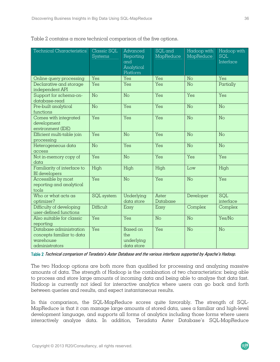| <b>Technical Characteristics</b>                                                    | Classic SQL<br><b>Systems</b> | Advanced<br>Reporting<br>and<br>Analytical<br>Platform | SQL and<br>MapReduce | Hadoop with<br>MapReduce | Hadoop with<br><b>SQL</b><br>Interface |
|-------------------------------------------------------------------------------------|-------------------------------|--------------------------------------------------------|----------------------|--------------------------|----------------------------------------|
| Online query processing                                                             | Yes                           | Yes                                                    | Yes                  | No                       | Yes                                    |
| Declarative and storage<br>independent API                                          | Yes                           | Yes                                                    | Yes                  | No                       | Partially                              |
| Support for schema-on-<br>database-read                                             | No                            | No                                                     | Yes                  | Yes                      | Yes                                    |
| Pre-built analytical<br>functions                                                   | No                            | Yes                                                    | Yes                  | No                       | No                                     |
| Comes with integrated<br>development<br>environment (IDE)                           | Yes                           | Yes                                                    | Yes                  | No                       | No                                     |
| Efficient multi-table join<br>processing                                            | Yes                           | No                                                     | Yes                  | No                       | No                                     |
| Heterogeneous data<br>access                                                        | No                            | Yes                                                    | Yes                  | No                       | No                                     |
| Not in-memory copy of<br>data                                                       | Yes                           | No                                                     | Yes                  | Yes                      | Yes                                    |
| Familiarity of interface to<br><b>BI</b> developers                                 | High                          | High                                                   | High                 | Low                      | High                                   |
| Accessible by most<br>reporting and analytical<br>tools                             | Yes                           | No                                                     | Yes                  | No                       | Yes                                    |
| Who or what acts as<br>optimizer?                                                   | SQL system                    | Underlying<br>data store                               | Aster<br>Database    | Developer                | <b>SQL</b><br>interface                |
| Difficulty of developing<br>user-defined functions                                  | Difficult                     | Easy                                                   | Easy                 | Complex                  | Complex                                |
| Also suitable for classic<br>reporting                                              | Yes                           | Yes                                                    | No                   | No                       | Yes/No                                 |
| Database administration<br>concepts familiar to data<br>warehouse<br>administrators | Yes                           | <b>Based on</b><br>the<br>underlying<br>data store     | Yes                  | No                       | No                                     |

Table 2 contains a more technical comparison of the five options.

Table 2 Technical comparison of Teradata's Aster Database and the various interfaces supported by Apache's Hadoop.

The two Hadoop options are both more than qualified for processing and analyzing massive amounts of data. The strength of Hadoop is the combination of two characteristics: being able to process and store large amounts of incoming data and being able to analyze that data fast. Hadoop is currently not ideal for interactive analytics where users can go back and forth between queries and results, and expect instantaneous results.

In this comparison, the SQL-MapReduce scores quite favorably. The strength of SQL-MapReduce is that it can manage large amounts of stored data, uses a familiar and high-level development language, and supports all forms of analytics including those forms where users interactively analyze data. In addition, Teradata Aster Database's SQL-MapReduce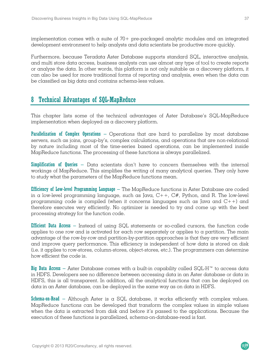implementation comes with  $\alpha$  suite of 70+ pre-packaged analytic modules and an integrated development environment to help analysts and data scientists be productive more quickly.

Furthermore, because Teradata Aster Database supports standard SQL, interactive analysis, and multi store data access, business analysts can use almost any type of tool to create reports or analyze the data. In other words, this platform is not only suitable as a discovery platform, it can also be used for more traditional forms of reporting and analysis, even when the data can be classified as big data and contains schema-less values.

# 8 Technical Advantages of SQL-MapReduce

This chapter lists some of the technical advantages of Aster Database's SQL-MapReduce implementation when deployed as a discovery platform.

Parallelization of Complex Operations – Operations that are hard to parallelize by most database servers, such as joins, group-by's, complex calculations, and operations that are non-relational by nature including most of the time-series based operations, can be implemented inside MapReduce functions. The processing of these functions is always parallelized.

**Simplification of Queries** – Data scientists don't have to concern themselves with the internal workings of MapReduce. This simplifies the writing of many analytical queries. They only have to study what the parameters of the MapReduce functions mean.

**Efficiency of Low-level Programming Language**  $-$  The MapReduce functions in Aster Database are coded in a low-level programming language, such as Java,  $C++$ ,  $C#$ , Python, and R. The low-level programming code is compiled (when it concerns languages such as Java and C++) and therefore executes very efficiently. No optimizer is needed to try and come up with the best processing strategy for the function code.

Efficient Data Access – Instead of using SQL statements or so-called cursors, the function code applies to one row and is activated for each row separately or applies to a partition. The main advantage of the row-by-row and partition-by-partition approaches is that they are very efficient and improve query performance. This efficiency is independent of how data is stored on disk (i.e. it applies to row-stores, column-stores, object-stores, etc.). The programmers can determine how efficient the code is.

Big Data Access – Aster Database comes with a built-in capability called SQL-H™ to access data in HDFS. Developers see no difference between accessing data in an Aster database or data in HDFS, this is all transparent. In addition, all the analytical functions that can be deployed on data in an Aster database, can be deployed in the same way as on data in HDFS.

**Schema-on-Read** – Although Aster is  $\alpha$  SQL database, it works efficiently with complex values. MapReduce functions can be developed that transform the complex values in simple values when the data is extracted from disk and before it's passed to the applications. Because the execution of these functions is parallelized, schema-on-database-read is fast.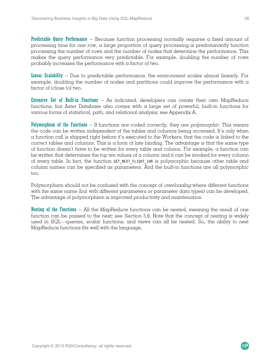**Predictable Query Performance** – Because function processing normally requires a fixed amount of processing time for one row, a large proportion of query processing is predominantly function processing the number of rows and the number of nodes that determine the performance. This makes the query performance very predictable. For example, doubling the number of rows probably increases the performance with a factor of two.

Linear Scalability – Due to predictable performance, the environment scales almost linearly. For example, doubling the number of nodes and partitions could improve the performance with  $\alpha$ factor of (close to) two.

Extensive Set of Built-in Functions – As indicated, developers can create their own MapReduce functions, but Aster Database also comes with a large set of powerful, built-in functions for various forms of statistical, path, and relational analysis; see Appendix A.

Polymorphism of the Functions – If functions are coded correctly, they are *polymorphic*. This means the code can be written independent of the tables and columns being accessed. It's only when a function call is shipped right before it's executed to the Workers, that the code is linked to the correct tables and columns. This is a form of late binding. The advantage is that the same type of function doesn't have to be written for every table and column. For example, a function can be written that determines the top ten values of  $\alpha$  column and it can be invoked for every column of every table. In fact, the function GET NEXT FLIGHT 1HR is polymorphic because other table and column names can be specified as parameters. And the built-in functions are all polymorphic too.

Polymorphism should not be confused with the concept of *overloading* where different functions with the same name (but with different parameters or parameter data types) can be developed. The advantage of polymorphism is improved productivity and maintenance.

Nesting of the Functions  $-$  All the MapReduce functions can be nested, meaning the result of one function can be passed to the next; see Section 5.6. Note that the concept of nesting is widely used in SQL—queries, scalar functions, and views can all be nested. So, the ability to nest MapReduce functions fits well with the language.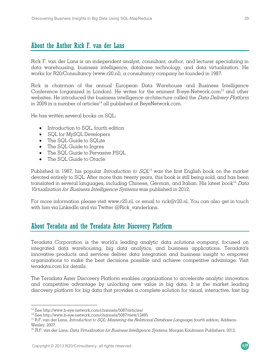# About the Author Rick F. van der Lans

Rick F. van der Lans is an independent analyst, consultant, author, and lecturer specializing in data warehousing, business intelligence, database technology, and data virtualization. He works for R20/Consultancy (www.r20.nl), a consultancy company he founded in 1987.

Rick is chairman of the annual European Data Warehouse and Business Intelligence Conference (organized in London). He writes for the eminent B-eye-Network.com<sup>13</sup> and other websites. He introduced the business intelligence architecture called the Data Delivery Platform in 2009 in a number of articles<sup>14</sup> all published at BeyeNetwork.com.

He has written several books on SQL:

- Introduction to SQL, fourth edition
- SQL for MySQL Developers
- The SQL Guide to SQLite
- The SQL Guide to Ingres
- The SQL Guide to Pervasive PSQL
- The SQL Guide to Oracle

Published in 1987, his popular *Introduction to*  $SQL<sup>15</sup>$  was the first English book on the market devoted entirely to SQL. After more than twenty years, this book is still being sold, and has been translated in several languages, including Chinese, German, and Italian. His latest book<sup>16</sup> Data Virtualization for Business Intelligence Systems was published in 2012.

For more information please visit www.r20.nl, or email to rick $\omega$ r20.nl. You can also get in touch with him via LinkedIn and via Twitter @Rick\_vanderlans.

## About Teradata and the Teradata Aster Discovery Platform

Teradata Corporation is the world's leading analytic data solutions company, focused on integrated data warehousing, big data analytics, and business applications. Teradata's innovative products and services deliver data integration and business insight to empower organizations to make the best decisions possible and achieve competitive advantage. Visit teradata.com for details.

The Teradata Aster Discovery Platform enables organizations to accelerate analytic innovation and competitive advantage by unlocking new value in big data. It is the market leading discovery platform for big data that provides a complete solution for visual, interactive, fast big

 $\overline{a}$ 

<sup>&</sup>lt;sup>13</sup> See http://www.b-eye-network.com/channels/5087/articles/<br><sup>14</sup> See http://www.b-eye-network.com/channels/5087/view/12495<br><sup>15</sup> R.F. van der Lans, *Introduction to SQL; Mastering the Relational Database Language*, fourt Wesley, 2007.

<sup>&</sup>lt;sup>16</sup> R.F. van der Lans, *Data Virtualization for Business Intelligence Systems*, Morgan Kaufmann Publishers, 2012.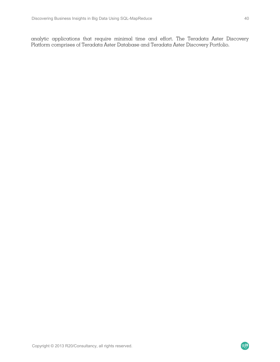analytic applications that require minimal time and effort. The Teradata Aster Discovery Platform comprises of Teradata Aster Database and Teradata Aster Discovery Portfolio.

R20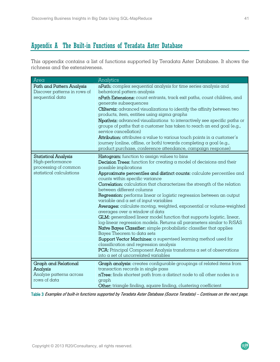# Appendix A The Built-in Functions of Teradata Aster Database

This appendix contains a list of functions supported by Teradata Aster Database. It shows the richness and the extensiveness.

| Area                                                                                                | Analytics                                                                                                                                                                                                                                                                                                                                                                                                                                                                                                                                                                                                                                                                                                                                                                                                                                                                                                                                                                                                                                                                                                            |
|-----------------------------------------------------------------------------------------------------|----------------------------------------------------------------------------------------------------------------------------------------------------------------------------------------------------------------------------------------------------------------------------------------------------------------------------------------------------------------------------------------------------------------------------------------------------------------------------------------------------------------------------------------------------------------------------------------------------------------------------------------------------------------------------------------------------------------------------------------------------------------------------------------------------------------------------------------------------------------------------------------------------------------------------------------------------------------------------------------------------------------------------------------------------------------------------------------------------------------------|
| Path and Pattern Analysis<br>Discover patterns in rows of<br>sequential data                        | nPath: complex sequential analysis for time series analysis and<br>behavioral pattern analysis<br>nPath Extensions: count entrants, track exit paths, count children, and<br>generate subsequences<br>Cfilterviz: advanced visualizations to identify the affinity between two<br>products, item, entities using sigma graphs<br>Npathviz: advanced visualizations to interactively see specific paths or<br>groups of paths that a customer has taken to reach an end goal (e.g.,<br>service cancellation)<br>Attribution: attributes a value to various touch points in a customer's<br>journey (online, offline, or both) towards completing a goal (e.g.,<br>product purchase, conference attendance, campaign response)                                                                                                                                                                                                                                                                                                                                                                                         |
| <b>Statistical Analysis</b><br>High-performance<br>processing of common<br>statistical calculations | Histogram: function to assign values to bins<br><b>Decision Trees:</b> function for creating $\alpha$ model of decisions and their<br>possible implications<br>Approximate percentiles and distinct counts: calculate percentiles and<br>counts within specific variance<br><b>Correlation:</b> calculation that characterizes the strength of the relation<br>between different columns<br>Regression: performs linear or logistic regression between an output<br>variable and a set of input variables<br>Averages: calculate moving, weighted, exponential or volume-weighted<br>averages over a window of data<br>GLM: generalized linear model function that supports logistic, linear,<br>log-linear regression models. Returns all parameters similar to R/SAS<br>Naive Bayes Classifier: simple probabilistic classifier that applies<br>Bayes Theorem to data sets<br>Support Vector Machines: a supervised learning method used for<br>classification and regression analysis<br><b>PCA:</b> Principal Component Analysis transforms $\alpha$ set of observations<br>into a set of uncorrelated variables |
| Graph and Relational<br>Analysis<br>Analyze patterns across<br>rows of data                         | Graph analysis: creates configurable groupings of related items from<br>transaction records in single pass<br>$nTree:$ finds shortest path from a distinct node to all other nodes in $\alpha$<br>graph<br>Other: triangle finding, square finding, clustering coefficient                                                                                                                                                                                                                                                                                                                                                                                                                                                                                                                                                                                                                                                                                                                                                                                                                                           |

Table 3 Examples of built-in functions supported by Teradata Aster Database (Source Teradata) – Continues on the next page.

R20